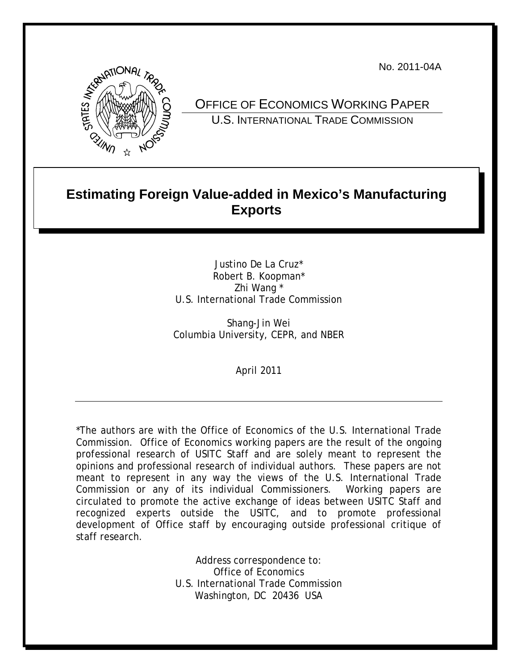No. 2011-04A



OFFICE OF ECONOMICS WORKING PAPER U.S. INTERNATIONAL TRADE COMMISSION

# **Estimating Foreign Value-added in Mexico's Manufacturing Exports**

Justino De La Cruz\* Robert B. Koopman\* Zhi Wang \* U.S. International Trade Commission

Shang-Jin Wei Columbia University, CEPR, and NBER

April 2011

\*The authors are with the Office of Economics of the U.S. International Trade Commission. Office of Economics working papers are the result of the ongoing professional research of USITC Staff and are solely meant to represent the opinions and professional research of individual authors. These papers are not meant to represent in any way the views of the U.S. International Trade Commission or any of its individual Commissioners. Working papers are circulated to promote the active exchange of ideas between USITC Staff and recognized experts outside the USITC, and to promote professional development of Office staff by encouraging outside professional critique of staff research.

> Address correspondence to: Office of Economics U.S. International Trade Commission Washington, DC 20436 USA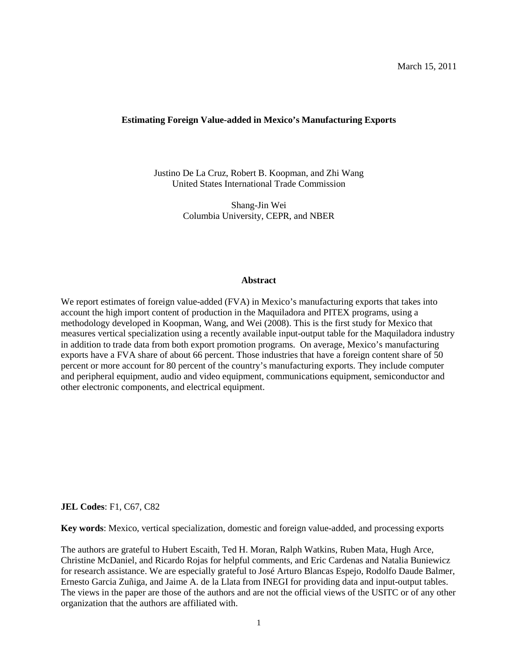March 15, 2011

## **Estimating Foreign Value-added in Mexico's Manufacturing Exports**

Justino De La Cruz, Robert B. Koopman, and Zhi Wang United States International Trade Commission

> Shang-Jin Wei Columbia University, CEPR, and NBER

## **Abstract**

We report estimates of foreign value-added (FVA) in Mexico's manufacturing exports that takes into account the high import content of production in the Maquiladora and PITEX programs, using a methodology developed in Koopman, Wang, and Wei (2008). This is the first study for Mexico that measures vertical specialization using a recently available input-output table for the Maquiladora industry in addition to trade data from both export promotion programs. On average, Mexico's manufacturing exports have a FVA share of about 66 percent. Those industries that have a foreign content share of 50 percent or more account for 80 percent of the country's manufacturing exports. They include computer and peripheral equipment, audio and video equipment, communications equipment, semiconductor and other electronic components, and electrical equipment.

#### **JEL Codes**: F1, C67, C82

**Key words**: Mexico, vertical specialization, domestic and foreign value-added, and processing exports

The authors are grateful to Hubert Escaith, Ted H. Moran, Ralph Watkins, Ruben Mata, Hugh Arce, Christine McDaniel, and Ricardo Rojas for helpful comments, and Eric Cardenas and Natalia Buniewicz for research assistance. We are especially grateful to José Arturo Blancas Espejo, Rodolfo Daude Balmer, Ernesto Garcia Zuñiga, and Jaime A. de la Llata from INEGI for providing data and input-output tables. The views in the paper are those of the authors and are not the official views of the USITC or of any other organization that the authors are affiliated with.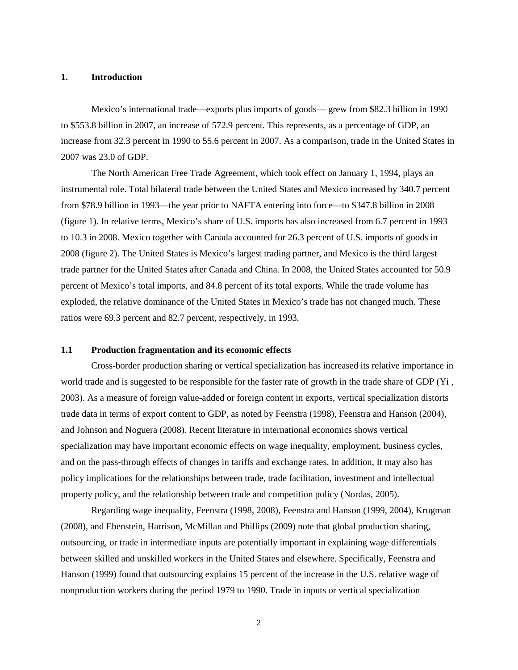# **1. Introduction**

Mexico's international trade—exports plus imports of goods— grew from \$82.3 billion in 1990 to \$553.8 billion in 2007, an increase of 572.9 percent. This represents, as a percentage of GDP, an increase from 32.3 percent in 1990 to 55.6 percent in 2007. As a comparison, trade in the United States in 2007 was 23.0 of GDP.

The North American Free Trade Agreement, which took effect on January 1, 1994, plays an instrumental role. Total bilateral trade between the United States and Mexico increased by 340.7 percent from \$78.9 billion in 1993—the year prior to NAFTA entering into force—to \$347.8 billion in 2008 (figure 1). In relative terms, Mexico's share of U.S. imports has also increased from 6.7 percent in 1993 to 10.3 in 2008. Mexico together with Canada accounted for 26.3 percent of U.S. imports of goods in 2008 (figure 2). The United States is Mexico's largest trading partner, and Mexico is the third largest trade partner for the United States after Canada and China. In 2008, the United States accounted for 50.9 percent of Mexico's total imports, and 84.8 percent of its total exports. While the trade volume has exploded, the relative dominance of the United States in Mexico's trade has not changed much. These ratios were 69.3 percent and 82.7 percent, respectively, in 1993.

# **1.1 Production fragmentation and its economic effects**

Cross-border production sharing or vertical specialization has increased its relative importance in world trade and is suggested to be responsible for the faster rate of growth in the trade share of GDP (Yi , 2003). As a measure of foreign value-added or foreign content in exports, vertical specialization distorts trade data in terms of export content to GDP, as noted by Feenstra (1998), Feenstra and Hanson (2004), and Johnson and Noguera (2008). Recent literature in international economics shows vertical specialization may have important economic effects on wage inequality, employment, business cycles, and on the pass-through effects of changes in tariffs and exchange rates. In addition, It may also has policy implications for the relationships between trade, trade facilitation, investment and intellectual property policy, and the relationship between trade and competition policy (Nordas, 2005).

Regarding wage inequality, Feenstra (1998, 2008), Feenstra and Hanson (1999, 2004), Krugman (2008), and Ebenstein, Harrison, McMillan and Phillips (2009) note that global production sharing, outsourcing, or trade in intermediate inputs are potentially important in explaining wage differentials between skilled and unskilled workers in the United States and elsewhere. Specifically, Feenstra and Hanson (1999) found that outsourcing explains 15 percent of the increase in the U.S. relative wage of nonproduction workers during the period 1979 to 1990. Trade in inputs or vertical specialization

2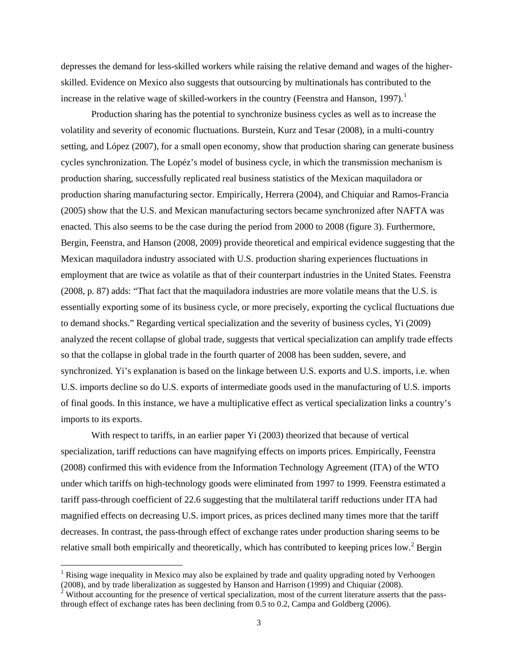depresses the demand for less-skilled workers while raising the relative demand and wages of the higherskilled. Evidence on Mexico also suggests that outsourcing by multinationals has contributed to the increase in the relative wage of skilled-workers in the country (Feenstra and Hanson, [1](#page-3-0)997).<sup>1</sup>

Production sharing has the potential to synchronize business cycles as well as to increase the volatility and severity of economic fluctuations. Burstein, Kurz and Tesar (2008), in a multi-country setting, and López (2007), for a small open economy, show that production sharing can generate business cycles synchronization. The Lopéz's model of business cycle, in which the transmission mechanism is production sharing, successfully replicated real business statistics of the Mexican maquiladora or production sharing manufacturing sector. Empirically, Herrera (2004), and Chiquiar and Ramos-Francia (2005) show that the U.S. and Mexican manufacturing sectors became synchronized after NAFTA was enacted. This also seems to be the case during the period from 2000 to 2008 (figure 3). Furthermore, Bergin, Feenstra, and Hanson (2008, 2009) provide theoretical and empirical evidence suggesting that the Mexican maquiladora industry associated with U.S. production sharing experiences fluctuations in employment that are twice as volatile as that of their counterpart industries in the United States. Feenstra (2008, p. 87) adds: "That fact that the maquiladora industries are more volatile means that the U.S. is essentially exporting some of its business cycle, or more precisely, exporting the cyclical fluctuations due to demand shocks." Regarding vertical specialization and the severity of business cycles, Yi (2009) analyzed the recent collapse of global trade, suggests that vertical specialization can amplify trade effects so that the collapse in global trade in the fourth quarter of 2008 has been sudden, severe, and synchronized. Yi's explanation is based on the linkage between U.S. exports and U.S. imports, i.e. when U.S. imports decline so do U.S. exports of intermediate goods used in the manufacturing of U.S. imports of final goods. In this instance, we have a multiplicative effect as vertical specialization links a country's imports to its exports.

With respect to tariffs, in an earlier paper Yi (2003) theorized that because of vertical specialization, tariff reductions can have magnifying effects on imports prices. Empirically, Feenstra (2008) confirmed this with evidence from the Information Technology Agreement (ITA) of the WTO under which tariffs on high-technology goods were eliminated from 1997 to 1999. Feenstra estimated a tariff pass-through coefficient of 22.6 suggesting that the multilateral tariff reductions under ITA had magnified effects on decreasing U.S. import prices, as prices declined many times more that the tariff decreases. In contrast, the pass-through effect of exchange rates under production sharing seems to be relative small both empirically and theoretically, which has contributed to keeping prices low.<sup>[2](#page-3-1)</sup> Bergin

<span id="page-3-0"></span><sup>&</sup>lt;sup>1</sup> Rising wage inequality in Mexico may also be explained by trade and quality upgrading noted by Verhoogen (2008), and by trade liberalization as suggested by Hanson and Harrison (1999) and Chiquiar (2008).

<span id="page-3-1"></span> $2^2$  Without accounting for the presence of vertical specialization, most of the current literature asserts that the passthrough effect of exchange rates has been declining from 0.5 to 0.2, Campa and Goldberg (2006).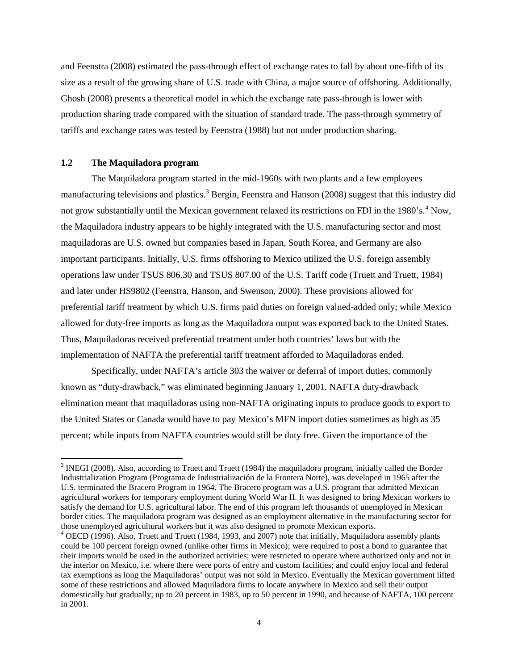and Feenstra (2008) estimated the pass-through effect of exchange rates to fall by about one-fifth of its size as a result of the growing share of U.S. trade with China, a major source of offshoring. Additionally, Ghosh (2008) presents a theoretical model in which the exchange rate pass-through is lower with production sharing trade compared with the situation of standard trade. The pass-through symmetry of tariffs and exchange rates was tested by Feenstra (1988) but not under production sharing.

# **1.2 The Maquiladora program**

The Maquiladora program started in the mid-1960s with two plants and a few employees manufacturing televisions and plastics.<sup>[3](#page-4-0)</sup> Bergin, Feenstra and Hanson (2008) suggest that this industry did not grow substantially until the Mexican government relaxed its restrictions on FDI in the 1980's.<sup>[4](#page-4-1)</sup> Now, the Maquiladora industry appears to be highly integrated with the U.S. manufacturing sector and most maquiladoras are U.S. owned but companies based in Japan, South Korea, and Germany are also important participants. Initially, U.S. firms offshoring to Mexico utilized the U.S. foreign assembly operations law under TSUS 806.30 and TSUS 807.00 of the U.S. Tariff code (Truett and Truett, 1984) and later under HS9802 (Feenstra, Hanson, and Swenson, 2000). These provisions allowed for preferential tariff treatment by which U.S. firms paid duties on foreign valued-added only; while Mexico allowed for duty-free imports as long as the Maquiladora output was exported back to the United States. Thus, Maquiladoras received preferential treatment under both countries' laws but with the implementation of NAFTA the preferential tariff treatment afforded to Maquiladoras ended.

Specifically, under NAFTA's article 303 the waiver or deferral of import duties, commonly known as "duty-drawback," was eliminated beginning January 1, 2001. NAFTA duty-drawback elimination meant that maquiladoras using non-NAFTA originating inputs to produce goods to export to the United States or Canada would have to pay Mexico's MFN import duties sometimes as high as 35 percent; while inputs from NAFTA countries would still be duty free. Given the importance of the

<span id="page-4-0"></span> $3$  INEGI (2008). Also, according to Truett and Truett (1984) the maquiladora program, initially called the Border Industrialization Program (Programa de Industrialización de la Frontera Norte), was developed in 1965 after the U.S. terminated the Bracero Program in 1964. The Bracero program was a U.S. program that admitted Mexican agricultural workers for temporary employment during World War II. It was designed to bring Mexican workers to satisfy the demand for U.S. agricultural labor. The end of this program left thousands of unemployed in Mexican border cities. The maquiladora program was designed as an employment alternative in the manufacturing sector for those unemployed agricultural workers but it was also designed to promote Mexican exports.

<span id="page-4-1"></span><sup>4</sup> OECD (1996). Also, Truett and Truett (1984, 1993, and 2007) note that initially, Maquiladora assembly plants could be 100 percent foreign owned (unlike other firms in Mexico); were required to post a bond to guarantee that their imports would be used in the authorized activities; were restricted to operate where authorized only and not in the interior on Mexico, i.e. where there were ports of entry and custom facilities; and could enjoy local and federal tax exemptions as long the Maquiladoras' output was not sold in Mexico. Eventually the Mexican government lifted some of these restrictions and allowed Maquiladora firms to locate anywhere in Mexico and sell their output domestically but gradually; up to 20 percent in 1983, up to 50 percent in 1990, and because of NAFTA, 100 percent in 2001.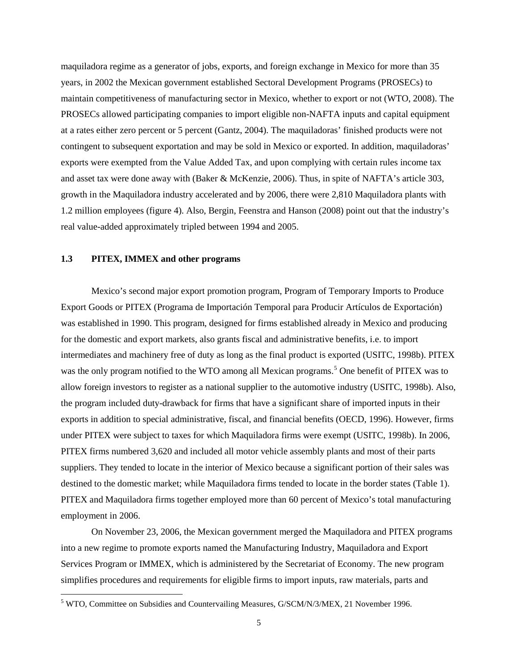maquiladora regime as a generator of jobs, exports, and foreign exchange in Mexico for more than 35 years, in 2002 the Mexican government established Sectoral Development Programs (PROSECs) to maintain competitiveness of manufacturing sector in Mexico, whether to export or not (WTO, 2008). The PROSECs allowed participating companies to import eligible non-NAFTA inputs and capital equipment at a rates either zero percent or 5 percent (Gantz, 2004). The maquiladoras' finished products were not contingent to subsequent exportation and may be sold in Mexico or exported. In addition, maquiladoras' exports were exempted from the Value Added Tax, and upon complying with certain rules income tax and asset tax were done away with (Baker & McKenzie, 2006). Thus, in spite of NAFTA's article 303, growth in the Maquiladora industry accelerated and by 2006, there were 2,810 Maquiladora plants with 1.2 million employees (figure 4). Also, Bergin, Feenstra and Hanson (2008) point out that the industry's real value-added approximately tripled between 1994 and 2005.

# **1.3 PITEX, IMMEX and other programs**

Mexico's second major export promotion program, Program of Temporary Imports to Produce Export Goods or PITEX (Programa de Importación Temporal para Producir Artículos de Exportación) was established in 1990. This program, designed for firms established already in Mexico and producing for the domestic and export markets, also grants fiscal and administrative benefits, i.e. to import intermediates and machinery free of duty as long as the final product is exported (USITC, 1998b). PITEX was the only program notified to the WTO among all Mexican programs.<sup>[5](#page-5-0)</sup> One benefit of PITEX was to allow foreign investors to register as a national supplier to the automotive industry (USITC, 1998b). Also, the program included duty-drawback for firms that have a significant share of imported inputs in their exports in addition to special administrative, fiscal, and financial benefits (OECD, 1996). However, firms under PITEX were subject to taxes for which Maquiladora firms were exempt (USITC, 1998b). In 2006, PITEX firms numbered 3,620 and included all motor vehicle assembly plants and most of their parts suppliers. They tended to locate in the interior of Mexico because a significant portion of their sales was destined to the domestic market; while Maquiladora firms tended to locate in the border states (Table 1). PITEX and Maquiladora firms together employed more than 60 percent of Mexico's total manufacturing employment in 2006.

On November 23, 2006, the Mexican government merged the Maquiladora and PITEX programs into a new regime to promote exports named the Manufacturing Industry, Maquiladora and Export Services Program or IMMEX, which is administered by the Secretariat of Economy. The new program simplifies procedures and requirements for eligible firms to import inputs, raw materials, parts and

<span id="page-5-0"></span> <sup>5</sup> WTO, Committee on Subsidies and Countervailing Measures, G/SCM/N/3/MEX, 21 November 1996.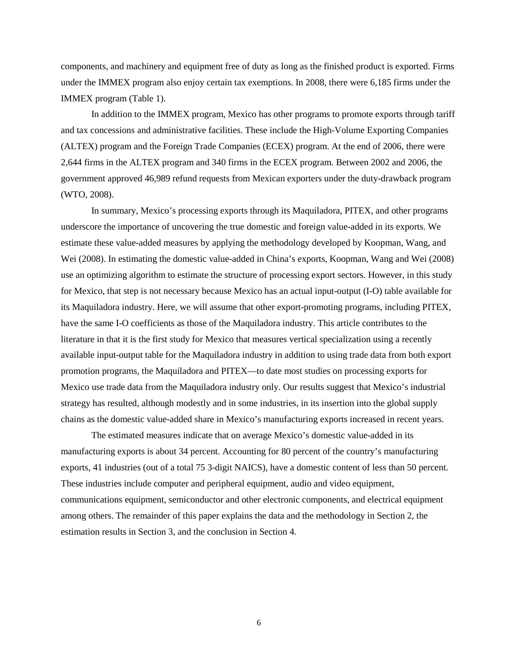components, and machinery and equipment free of duty as long as the finished product is exported. Firms under the IMMEX program also enjoy certain tax exemptions. In 2008, there were 6,185 firms under the IMMEX program (Table 1).

In addition to the IMMEX program, Mexico has other programs to promote exports through tariff and tax concessions and administrative facilities. These include the High-Volume Exporting Companies (ALTEX) program and the Foreign Trade Companies (ECEX) program. At the end of 2006, there were 2,644 firms in the ALTEX program and 340 firms in the ECEX program. Between 2002 and 2006, the government approved 46,989 refund requests from Mexican exporters under the duty-drawback program (WTO, 2008).

In summary, Mexico's processing exports through its Maquiladora, PITEX, and other programs underscore the importance of uncovering the true domestic and foreign value-added in its exports. We estimate these value-added measures by applying the methodology developed by Koopman, Wang, and Wei (2008). In estimating the domestic value-added in China's exports, Koopman, Wang and Wei (2008) use an optimizing algorithm to estimate the structure of processing export sectors. However, in this study for Mexico, that step is not necessary because Mexico has an actual input-output (I-O) table available for its Maquiladora industry. Here, we will assume that other export-promoting programs, including PITEX, have the same I-O coefficients as those of the Maquiladora industry. This article contributes to the literature in that it is the first study for Mexico that measures vertical specialization using a recently available input-output table for the Maquiladora industry in addition to using trade data from both export promotion programs, the Maquiladora and PITEX—to date most studies on processing exports for Mexico use trade data from the Maquiladora industry only. Our results suggest that Mexico's industrial strategy has resulted, although modestly and in some industries, in its insertion into the global supply chains as the domestic value-added share in Mexico's manufacturing exports increased in recent years.

The estimated measures indicate that on average Mexico's domestic value-added in its manufacturing exports is about 34 percent. Accounting for 80 percent of the country's manufacturing exports, 41 industries (out of a total 75 3-digit NAICS), have a domestic content of less than 50 percent. These industries include computer and peripheral equipment, audio and video equipment, communications equipment, semiconductor and other electronic components, and electrical equipment among others. The remainder of this paper explains the data and the methodology in Section 2, the estimation results in Section 3, and the conclusion in Section 4.

6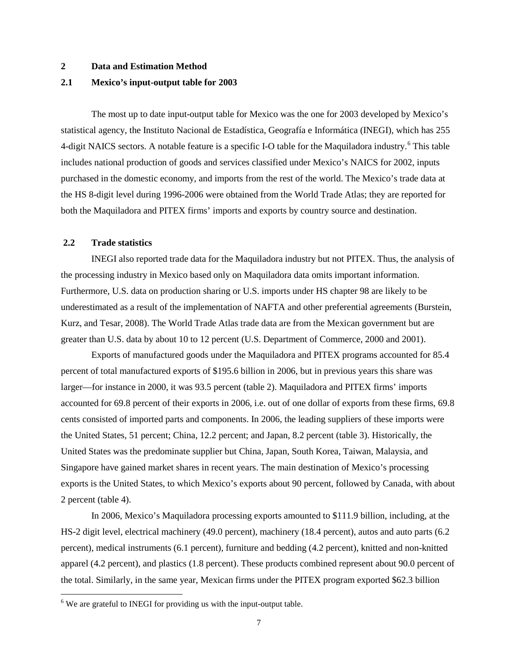## **2 Data and Estimation Method**

#### **2.1 Mexico's input-output table for 2003**

The most up to date input-output table for Mexico was the one for 2003 developed by Mexico's statistical agency, the Instituto Nacional de Estadística, Geografía e Informática (INEGI), which has 255 4-digit NAICS sectors. A notable feature is a specific I-O table for the Maquiladora industry.<sup>[6](#page-7-0)</sup> This table includes national production of goods and services classified under Mexico's NAICS for 2002, inputs purchased in the domestic economy, and imports from the rest of the world. The Mexico's trade data at the HS 8-digit level during 1996-2006 were obtained from the World Trade Atlas; they are reported for both the Maquiladora and PITEX firms' imports and exports by country source and destination.

## **2.2 Trade statistics**

INEGI also reported trade data for the Maquiladora industry but not PITEX. Thus, the analysis of the processing industry in Mexico based only on Maquiladora data omits important information. Furthermore, U.S. data on production sharing or U.S. imports under HS chapter 98 are likely to be underestimated as a result of the implementation of NAFTA and other preferential agreements (Burstein, Kurz, and Tesar, 2008). The World Trade Atlas trade data are from the Mexican government but are greater than U.S. data by about 10 to 12 percent (U.S. Department of Commerce, 2000 and 2001).

Exports of manufactured goods under the Maquiladora and PITEX programs accounted for 85.4 percent of total manufactured exports of \$195.6 billion in 2006, but in previous years this share was larger—for instance in 2000, it was 93.5 percent (table 2). Maquiladora and PITEX firms' imports accounted for 69.8 percent of their exports in 2006, i.e. out of one dollar of exports from these firms, 69.8 cents consisted of imported parts and components. In 2006, the leading suppliers of these imports were the United States, 51 percent; China, 12.2 percent; and Japan, 8.2 percent (table 3). Historically, the United States was the predominate supplier but China, Japan, South Korea, Taiwan, Malaysia, and Singapore have gained market shares in recent years. The main destination of Mexico's processing exports is the United States, to which Mexico's exports about 90 percent, followed by Canada, with about 2 percent (table 4).

In 2006, Mexico's Maquiladora processing exports amounted to \$111.9 billion, including, at the HS-2 digit level, electrical machinery (49.0 percent), machinery (18.4 percent), autos and auto parts (6.2 percent), medical instruments (6.1 percent), furniture and bedding (4.2 percent), knitted and non-knitted apparel (4.2 percent), and plastics (1.8 percent). These products combined represent about 90.0 percent of the total. Similarly, in the same year, Mexican firms under the PITEX program exported \$62.3 billion

<span id="page-7-0"></span><sup>&</sup>lt;sup>6</sup> We are grateful to INEGI for providing us with the input-output table.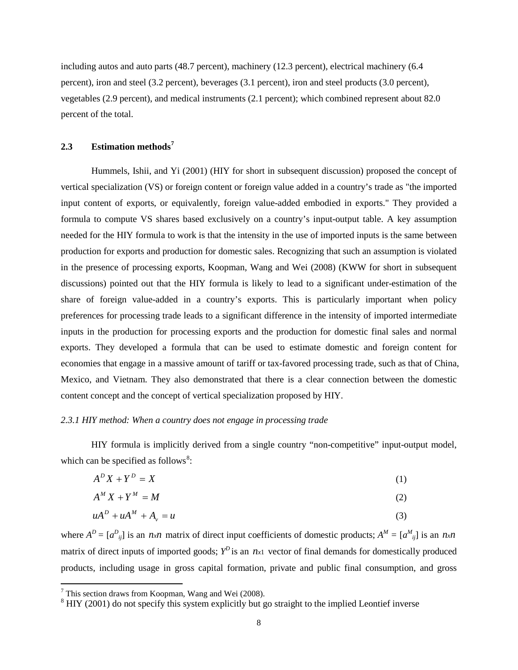including autos and auto parts (48.7 percent), machinery (12.3 percent), electrical machinery (6.4 percent), iron and steel (3.2 percent), beverages (3.1 percent), iron and steel products (3.0 percent), vegetables (2.9 percent), and medical instruments (2.1 percent); which combined represent about 82.0 percent of the total.

# **2.3 Estimation methods[7](#page-8-0)**

Hummels, Ishii, and Yi (2001) (HIY for short in subsequent discussion) proposed the concept of vertical specialization (VS) or foreign content or foreign value added in a country's trade as "the imported input content of exports, or equivalently, foreign value-added embodied in exports." They provided a formula to compute VS shares based exclusively on a country's input-output table. A key assumption needed for the HIY formula to work is that the intensity in the use of imported inputs is the same between production for exports and production for domestic sales. Recognizing that such an assumption is violated in the presence of processing exports, Koopman, Wang and Wei (2008) (KWW for short in subsequent discussions) pointed out that the HIY formula is likely to lead to a significant under-estimation of the share of foreign value-added in a country's exports. This is particularly important when policy preferences for processing trade leads to a significant difference in the intensity of imported intermediate inputs in the production for processing exports and the production for domestic final sales and normal exports. They developed a formula that can be used to estimate domestic and foreign content for economies that engage in a massive amount of tariff or tax-favored processing trade, such as that of China, Mexico, and Vietnam. They also demonstrated that there is a clear connection between the domestic content concept and the concept of vertical specialization proposed by HIY.

# *2.3.1 HIY method: When a country does not engage in processing trade*

HIY formula is implicitly derived from a single country "non-competitive" input-output model, which can be specified as follows<sup>[8](#page-8-1)</sup>:

$$
A^D X + Y^D = X \tag{1}
$$

$$
A^M X + Y^M = M \tag{2}
$$

$$
uA^D + uA^M + A_v = u \tag{3}
$$

where  $A^D = [a^D_{ij}]$  is an *nxn* matrix of direct input coefficients of domestic products;  $A^M = [a^M_{ij}]$  is an *nxn* matrix of direct inputs of imported goods;  $Y^D$  is an  $n_x$ 1 vector of final demands for domestically produced products, including usage in gross capital formation, private and public final consumption, and gross

<span id="page-8-0"></span> $7$  This section draws from Koopman, Wang and Wei (2008).

<span id="page-8-1"></span><sup>&</sup>lt;sup>8</sup> HIY (2001) do not specify this system explicitly but go straight to the implied Leontief inverse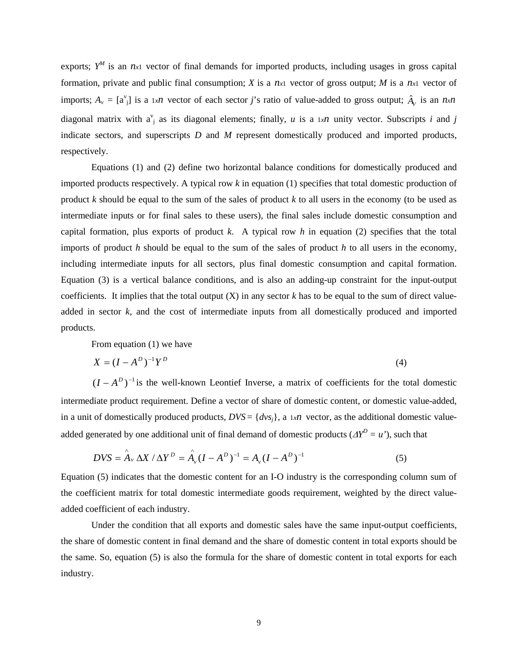exports;  $Y^M$  is an  $n_{x1}$  vector of final demands for imported products, including usages in gross capital formation, private and public final consumption; *X* is a *nx*<sup>1</sup> vector of gross output; *M* is a *nx*<sup>1</sup> vector of imports;  $A_v = [a^v_j]$  is a 1*xn* vector of each sector *j*'s ratio of value-added to gross output;  $\hat{A}_v$  is an *nxn* diagonal matrix with  $a_j^v$  as its diagonal elements; finally, *u* is a 1*xn* unity vector. Subscripts *i* and *j* indicate sectors, and superscripts *D* and *M* represent domestically produced and imported products, respectively.

Equations (1) and (2) define two horizontal balance conditions for domestically produced and imported products respectively. A typical row *k* in equation (1) specifies that total domestic production of product *k* should be equal to the sum of the sales of product *k* to all users in the economy (to be used as intermediate inputs or for final sales to these users), the final sales include domestic consumption and capital formation, plus exports of product *k*. A typical row *h* in equation (2) specifies that the total imports of product *h* should be equal to the sum of the sales of product *h* to all users in the economy, including intermediate inputs for all sectors, plus final domestic consumption and capital formation. Equation (3) is a vertical balance conditions, and is also an adding-up constraint for the input-output coefficients. It implies that the total output  $(X)$  in any sector  $k$  has to be equal to the sum of direct valueadded in sector *k*, and the cost of intermediate inputs from all domestically produced and imported products.

From equation (1) we have

$$
X = (I - AD)-1YD
$$
 (4)

 $(I - A^D)^{-1}$  is the well-known Leontief Inverse, a matrix of coefficients for the total domestic intermediate product requirement. Define a vector of share of domestic content, or domestic value-added, in a unit of domestically produced products,  $DVS = \{dv_s\}$ , a  $1xn$  vector, as the additional domestic valueadded generated by one additional unit of final demand of domestic products ( $\Delta Y^D = u'$ ), such that

$$
DVS = \hat{A}_v \Delta X / \Delta Y^D = \hat{A}_v (I - A^D)^{-1} = A_v (I - A^D)^{-1}
$$
 (5)

Equation (5) indicates that the domestic content for an I-O industry is the corresponding column sum of the coefficient matrix for total domestic intermediate goods requirement, weighted by the direct valueadded coefficient of each industry.

Under the condition that all exports and domestic sales have the same input-output coefficients, the share of domestic content in final demand and the share of domestic content in total exports should be the same. So, equation (5) is also the formula for the share of domestic content in total exports for each industry.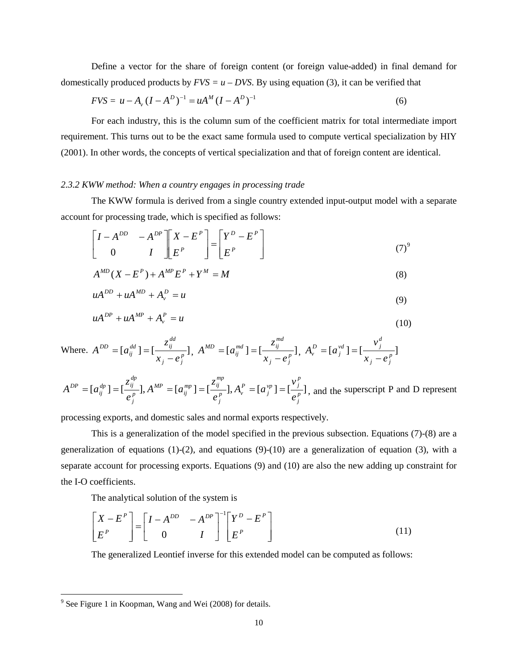Define a vector for the share of foreign content (or foreign value-added) in final demand for domestically produced products by  $FVS = u - DVS$ . By using equation (3), it can be verified that

$$
FVS = u - Av (I - AD)-1 = uAM (I - AD)-1
$$
 (6)

For each industry, this is the column sum of the coefficient matrix for total intermediate import requirement. This turns out to be the exact same formula used to compute vertical specialization by HIY (2001). In other words, the concepts of vertical specialization and that of foreign content are identical.

## *2.3.2 KWW method: When a country engages in processing trade*

The KWW formula is derived from a single country extended input-output model with a separate account for processing trade, which is specified as follows:

$$
\begin{bmatrix} I - A^{DD} & -A^{DP} \\ 0 & I \end{bmatrix} \begin{bmatrix} X - E^P \\ E^P \end{bmatrix} = \begin{bmatrix} Y^D - E^P \\ E^P \end{bmatrix}
$$
 (7)<sup>9</sup>

$$
A^{MD}(X - E^P) + A^{MP}E^P + Y^M = M
$$
\n(8)

$$
uA^{DD} + uA^{MD} + A_v^D = u \tag{9}
$$

$$
uA^{DP} + uA^{MP} + A_v^P = u \tag{10}
$$

Where. 
$$
A^{DD} = [a_{ij}^{dd}] = [\frac{z_{ij}^{dd}}{x_j - e_j^p}], A^{MD} = [a_{ij}^{md}] = [\frac{z_{ij}^{md}}{x_j - e_j^p}], A_{\nu}^{D} = [a_{j}^{\nu d}] = [\frac{\nu_j^d}{x_j - e_j^p}]
$$

$$
A^{DP} = [a_{ij}^{dp}] = [\frac{z_{ij}^{dp}}{e_j^p}], A^{MP} = [a_{ij}^{mp}] = [\frac{z_{ij}^{mp}}{e_j^p}], A_{\nu}^P = [a_j^{\nu_P}] = [\frac{\nu_j^P}{e_j^p}],
$$
 and the superscript P and D represent

processing exports, and domestic sales and normal exports respectively.

This is a generalization of the model specified in the previous subsection. Equations (7)-(8) are a generalization of equations  $(1)-(2)$ , and equations  $(9)-(10)$  are a generalization of equation  $(3)$ , with a separate account for processing exports. Equations (9) and (10) are also the new adding up constraint for the I-O coefficients.

The analytical solution of the system is

$$
\begin{bmatrix} X - E^P \\ E^P \end{bmatrix} = \begin{bmatrix} I - A^{DD} & -A^{DP} \\ 0 & I \end{bmatrix}^{-1} \begin{bmatrix} Y^D - E^P \\ E^P \end{bmatrix}
$$
(11)

The generalized Leontief inverse for this extended model can be computed as follows:

<span id="page-10-0"></span><sup>&</sup>lt;sup>9</sup> See Figure 1 in Koopman, Wang and Wei (2008) for details.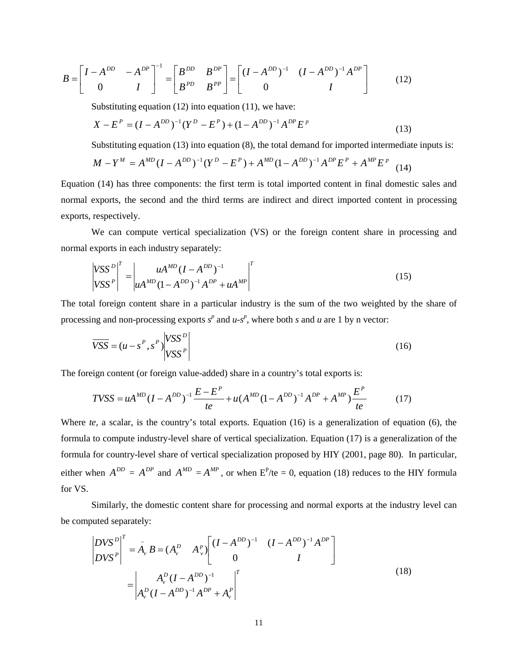$$
B = \begin{bmatrix} I - A^{DD} & -A^{DP} \\ 0 & I \end{bmatrix}^{-1} = \begin{bmatrix} B^{DD} & B^{DP} \\ B^{PD} & B^{PP} \end{bmatrix} = \begin{bmatrix} (I - A^{DD})^{-1} & (I - A^{DD})^{-1} A^{DP} \\ 0 & I \end{bmatrix}
$$
(12)

Substituting equation (12) into equation (11), we have:

$$
X - EP = (I - ADD)-1 (YD - EP) + (1 - ADD)-1 ADP EP
$$
 (13)

Substituting equation (13) into equation (8), the total demand for imported intermediate inputs is:

$$
M - Y^M = A^{MD} (I - A^{DD})^{-1} (Y^D - E^P) + A^{MD} (1 - A^{DD})^{-1} A^{DP} E^P + A^{MP} E^P
$$
 (14)

Equation (14) has three components: the first term is total imported content in final domestic sales and normal exports, the second and the third terms are indirect and direct imported content in processing exports, respectively.

We can compute vertical specialization (VS) or the foreign content share in processing and normal exports in each industry separately:

$$
\begin{vmatrix} VSS^D \\ VSS^P \end{vmatrix}^T = \begin{vmatrix} uA^{MD} (I - A^{DD})^{-1} \\ uA^{MD} (1 - A^{DD})^{-1} A^{DP} + uA^{MP} \end{vmatrix}^T
$$
 (15)

The total foreign content share in a particular industry is the sum of the two weighted by the share of processing and non-processing exports  $s^p$  and  $u-s^p$ , where both *s* and *u* are 1 by n vector:

$$
\overline{VSS} = (u - s^P, s^P) \begin{vmatrix} VSS^D \\ VSS^P \end{vmatrix}
$$
 (16)

The foreign content (or foreign value-added) share in a country's total exports is:

$$
TVSS = uA^{MD} (I - A^{DD})^{-1} \frac{E - E^{P}}{te} + u(A^{MD} (1 - A^{DD})^{-1} A^{DP} + A^{MP}) \frac{E^{P}}{te}
$$
(17)

Where *te*, a scalar, is the country's total exports. Equation (16) is a generalization of equation (6), the formula to compute industry-level share of vertical specialization. Equation (17) is a generalization of the formula for country-level share of vertical specialization proposed by HIY (2001, page 80). In particular, either when  $A^{DD} = A^{DP}$  and  $A^{MD} = A^{MP}$ , or when  $E^P$ /te = 0, equation (18) reduces to the HIY formula for VS.

Similarly, the domestic content share for processing and normal exports at the industry level can be computed separately:

$$
\begin{vmatrix} DVS^D \\ DVS^P \end{vmatrix}^T = \bar{A}_v B = (A_v^D - A_v^P) \begin{bmatrix} (I - A^{DD})^{-1} & (I - A^{DD})^{-1} A^{DP} \\ 0 & I \end{bmatrix}
$$

$$
= \begin{vmatrix} A_v^D (I - A^{DD})^{-1} \\ A_v^D (I - A^{DD})^{-1} A^{DP} + A_v^P \end{vmatrix}^T
$$
(18)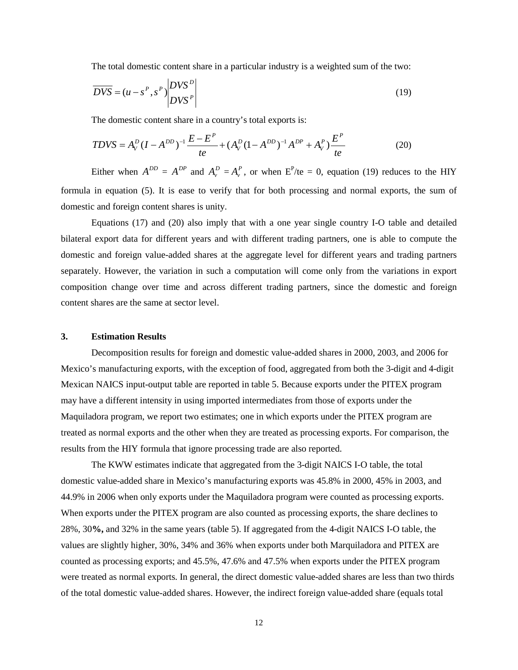The total domestic content share in a particular industry is a weighted sum of the two:

$$
\overline{DVS} = (u - s^P, s^P) \begin{vmatrix} DVS^D \\ DVS^P \end{vmatrix}
$$
 (19)

The domestic content share in a country's total exports is:

$$
TDVS = A_V^D (I - A^{DD})^{-1} \frac{E - E^P}{te} + (A_V^D (1 - A^{DD})^{-1} A^{DP} + A_V^P) \frac{E^P}{te}
$$
(20)

Either when  $A^{DD} = A^{DP}$  and  $A_v^D = A_v^P$ , or when  $E^P$ /te = 0, equation (19) reduces to the HIY formula in equation (5). It is ease to verify that for both processing and normal exports, the sum of domestic and foreign content shares is unity.

Equations (17) and (20) also imply that with a one year single country I-O table and detailed bilateral export data for different years and with different trading partners, one is able to compute the domestic and foreign value-added shares at the aggregate level for different years and trading partners separately. However, the variation in such a computation will come only from the variations in export composition change over time and across different trading partners, since the domestic and foreign content shares are the same at sector level.

# **3. Estimation Results**

Decomposition results for foreign and domestic value-added shares in 2000, 2003, and 2006 for Mexico's manufacturing exports, with the exception of food, aggregated from both the 3-digit and 4-digit Mexican NAICS input-output table are reported in table 5. Because exports under the PITEX program may have a different intensity in using imported intermediates from those of exports under the Maquiladora program, we report two estimates; one in which exports under the PITEX program are treated as normal exports and the other when they are treated as processing exports. For comparison, the results from the HIY formula that ignore processing trade are also reported.

The KWW estimates indicate that aggregated from the 3-digit NAICS I-O table, the total domestic value-added share in Mexico's manufacturing exports was 45.8% in 2000, 45% in 2003, and 44.9% in 2006 when only exports under the Maquiladora program were counted as processing exports. When exports under the PITEX program are also counted as processing exports, the share declines to 28%, 30**%,** and 32% in the same years (table 5). If aggregated from the 4-digit NAICS I-O table, the values are slightly higher, 30%, 34% and 36% when exports under both Marquiladora and PITEX are counted as processing exports; and 45.5%, 47.6% and 47.5% when exports under the PITEX program were treated as normal exports. In general, the direct domestic value-added shares are less than two thirds of the total domestic value-added shares. However, the indirect foreign value-added share (equals total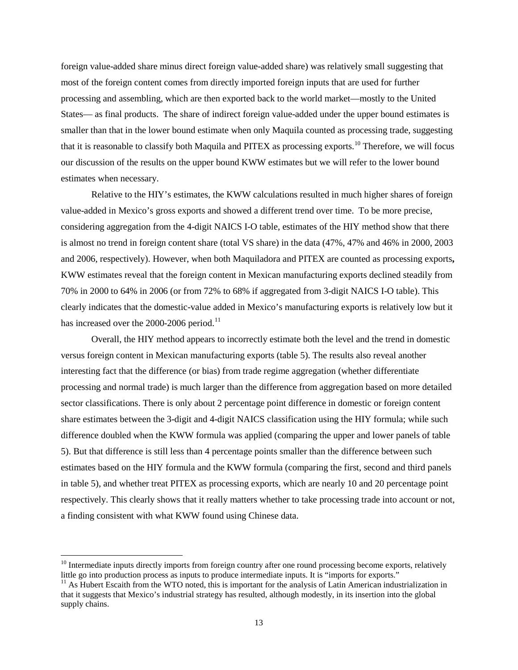foreign value-added share minus direct foreign value-added share) was relatively small suggesting that most of the foreign content comes from directly imported foreign inputs that are used for further processing and assembling, which are then exported back to the world market—mostly to the United States— as final products. The share of indirect foreign value-added under the upper bound estimates is smaller than that in the lower bound estimate when only Maquila counted as processing trade, suggesting that it is reasonable to classify both Maquila and PITEX as processing exports.<sup>[10](#page-13-0)</sup> Therefore, we will focus our discussion of the results on the upper bound KWW estimates but we will refer to the lower bound estimates when necessary.

Relative to the HIY's estimates, the KWW calculations resulted in much higher shares of foreign value-added in Mexico's gross exports and showed a different trend over time. To be more precise, considering aggregation from the 4-digit NAICS I-O table, estimates of the HIY method show that there is almost no trend in foreign content share (total VS share) in the data (47%, 47% and 46% in 2000, 2003 and 2006, respectively). However, when both Maquiladora and PITEX are counted as processing exports**,** KWW estimates reveal that the foreign content in Mexican manufacturing exports declined steadily from 70% in 2000 to 64% in 2006 (or from 72% to 68% if aggregated from 3-digit NAICS I-O table). This clearly indicates that the domestic-value added in Mexico's manufacturing exports is relatively low but it has increased over the 2000-2006 period.<sup>[11](#page-13-1)</sup>

Overall, the HIY method appears to incorrectly estimate both the level and the trend in domestic versus foreign content in Mexican manufacturing exports (table 5). The results also reveal another interesting fact that the difference (or bias) from trade regime aggregation (whether differentiate processing and normal trade) is much larger than the difference from aggregation based on more detailed sector classifications. There is only about 2 percentage point difference in domestic or foreign content share estimates between the 3-digit and 4-digit NAICS classification using the HIY formula; while such difference doubled when the KWW formula was applied (comparing the upper and lower panels of table 5). But that difference is still less than 4 percentage points smaller than the difference between such estimates based on the HIY formula and the KWW formula (comparing the first, second and third panels in table 5), and whether treat PITEX as processing exports, which are nearly 10 and 20 percentage point respectively. This clearly shows that it really matters whether to take processing trade into account or not, a finding consistent with what KWW found using Chinese data.

<span id="page-13-0"></span> $10$  Intermediate inputs directly imports from foreign country after one round processing become exports, relatively little go into production process as inputs to produce intermediate inputs. It is "imports for exports." <sup>11</sup> As Hubert Escaith from the WTO noted, this is important for the analysis of Latin American industrialization in

<span id="page-13-1"></span>that it suggests that Mexico's industrial strategy has resulted, although modestly, in its insertion into the global supply chains.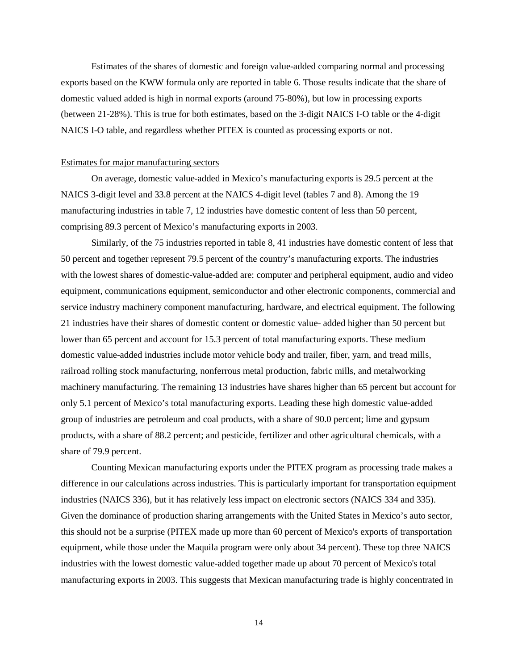Estimates of the shares of domestic and foreign value-added comparing normal and processing exports based on the KWW formula only are reported in table 6. Those results indicate that the share of domestic valued added is high in normal exports (around 75-80%), but low in processing exports (between 21-28%). This is true for both estimates, based on the 3-digit NAICS I-O table or the 4-digit NAICS I-O table, and regardless whether PITEX is counted as processing exports or not.

### Estimates for major manufacturing sectors

On average, domestic value-added in Mexico's manufacturing exports is 29.5 percent at the NAICS 3-digit level and 33.8 percent at the NAICS 4-digit level (tables 7 and 8). Among the 19 manufacturing industries in table 7, 12 industries have domestic content of less than 50 percent, comprising 89.3 percent of Mexico's manufacturing exports in 2003.

Similarly, of the 75 industries reported in table 8, 41 industries have domestic content of less that 50 percent and together represent 79.5 percent of the country's manufacturing exports. The industries with the lowest shares of domestic-value-added are: computer and peripheral equipment, audio and video equipment, communications equipment, semiconductor and other electronic components, commercial and service industry machinery component manufacturing, hardware, and electrical equipment. The following 21 industries have their shares of domestic content or domestic value- added higher than 50 percent but lower than 65 percent and account for 15.3 percent of total manufacturing exports. These medium domestic value-added industries include motor vehicle body and trailer, fiber, yarn, and tread mills, railroad rolling stock manufacturing, nonferrous metal production, fabric mills, and metalworking machinery manufacturing. The remaining 13 industries have shares higher than 65 percent but account for only 5.1 percent of Mexico's total manufacturing exports. Leading these high domestic value-added group of industries are petroleum and coal products, with a share of 90.0 percent; lime and gypsum products, with a share of 88.2 percent; and pesticide, fertilizer and other agricultural chemicals, with a share of 79.9 percent.

Counting Mexican manufacturing exports under the PITEX program as processing trade makes a difference in our calculations across industries. This is particularly important for transportation equipment industries (NAICS 336), but it has relatively less impact on electronic sectors (NAICS 334 and 335). Given the dominance of production sharing arrangements with the United States in Mexico's auto sector, this should not be a surprise (PITEX made up more than 60 percent of Mexico's exports of transportation equipment, while those under the Maquila program were only about 34 percent). These top three NAICS industries with the lowest domestic value-added together made up about 70 percent of Mexico's total manufacturing exports in 2003. This suggests that Mexican manufacturing trade is highly concentrated in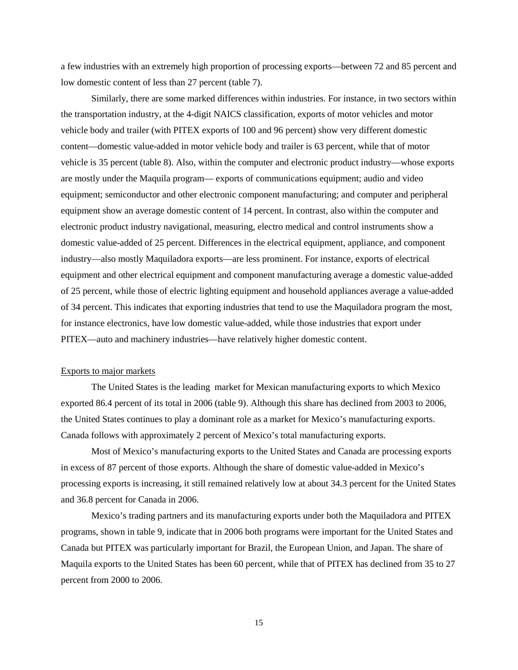a few industries with an extremely high proportion of processing exports—between 72 and 85 percent and low domestic content of less than 27 percent (table 7).

Similarly, there are some marked differences within industries. For instance, in two sectors within the transportation industry, at the 4-digit NAICS classification, exports of motor vehicles and motor vehicle body and trailer (with PITEX exports of 100 and 96 percent) show very different domestic content—domestic value-added in motor vehicle body and trailer is 63 percent, while that of motor vehicle is 35 percent (table 8). Also, within the computer and electronic product industry—whose exports are mostly under the Maquila program— exports of communications equipment; audio and video equipment; semiconductor and other electronic component manufacturing; and computer and peripheral equipment show an average domestic content of 14 percent. In contrast, also within the computer and electronic product industry navigational, measuring, electro medical and control instruments show a domestic value-added of 25 percent. Differences in the electrical equipment, appliance, and component industry—also mostly Maquiladora exports—are less prominent. For instance, exports of electrical equipment and other electrical equipment and component manufacturing average a domestic value-added of 25 percent, while those of electric lighting equipment and household appliances average a value-added of 34 percent. This indicates that exporting industries that tend to use the Maquiladora program the most, for instance electronics, have low domestic value-added, while those industries that export under PITEX—auto and machinery industries—have relatively higher domestic content.

## Exports to major markets

The United States is the leading market for Mexican manufacturing exports to which Mexico exported 86.4 percent of its total in 2006 (table 9). Although this share has declined from 2003 to 2006, the United States continues to play a dominant role as a market for Mexico's manufacturing exports. Canada follows with approximately 2 percent of Mexico's total manufacturing exports.

Most of Mexico's manufacturing exports to the United States and Canada are processing exports in excess of 87 percent of those exports. Although the share of domestic value-added in Mexico's processing exports is increasing, it still remained relatively low at about 34.3 percent for the United States and 36.8 percent for Canada in 2006.

Mexico's trading partners and its manufacturing exports under both the Maquiladora and PITEX programs, shown in table 9, indicate that in 2006 both programs were important for the United States and Canada but PITEX was particularly important for Brazil, the European Union, and Japan. The share of Maquila exports to the United States has been 60 percent, while that of PITEX has declined from 35 to 27 percent from 2000 to 2006.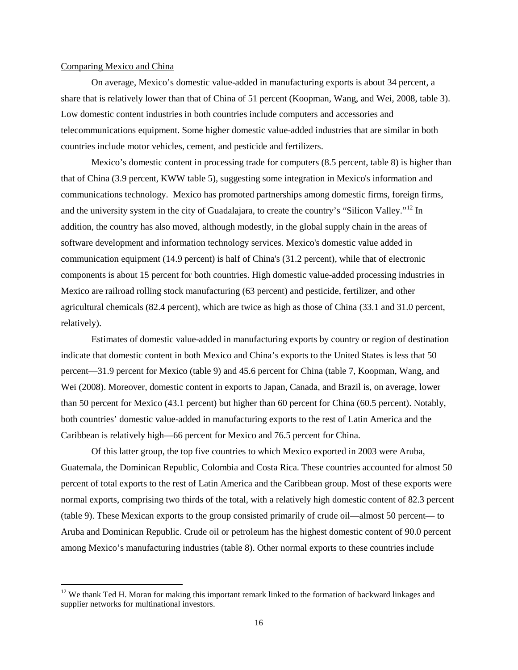## Comparing Mexico and China

On average, Mexico's domestic value-added in manufacturing exports is about 34 percent, a share that is relatively lower than that of China of 51 percent (Koopman, Wang, and Wei, 2008, table 3). Low domestic content industries in both countries include computers and accessories and telecommunications equipment. Some higher domestic value-added industries that are similar in both countries include motor vehicles, cement, and pesticide and fertilizers.

Mexico's domestic content in processing trade for computers (8.5 percent, table 8) is higher than that of China (3.9 percent, KWW table 5), suggesting some integration in Mexico's information and communications technology. Mexico has promoted partnerships among domestic firms, foreign firms, and the university system in the city of Guadalajara, to create the country's "Silicon Valley."<sup>[12](#page-16-0)</sup> In addition, the country has also moved, although modestly, in the global supply chain in the areas of software development and information technology services. Mexico's domestic value added in communication equipment (14.9 percent) is half of China's (31.2 percent), while that of electronic components is about 15 percent for both countries. High domestic value-added processing industries in Mexico are railroad rolling stock manufacturing (63 percent) and pesticide, fertilizer, and other agricultural chemicals (82.4 percent), which are twice as high as those of China (33.1 and 31.0 percent, relatively).

Estimates of domestic value-added in manufacturing exports by country or region of destination indicate that domestic content in both Mexico and China's exports to the United States is less that 50 percent—31.9 percent for Mexico (table 9) and 45.6 percent for China (table 7, Koopman, Wang, and Wei (2008). Moreover, domestic content in exports to Japan, Canada, and Brazil is, on average, lower than 50 percent for Mexico (43.1 percent) but higher than 60 percent for China (60.5 percent). Notably, both countries' domestic value-added in manufacturing exports to the rest of Latin America and the Caribbean is relatively high—66 percent for Mexico and 76.5 percent for China.

Of this latter group, the top five countries to which Mexico exported in 2003 were Aruba, Guatemala, the Dominican Republic, Colombia and Costa Rica. These countries accounted for almost 50 percent of total exports to the rest of Latin America and the Caribbean group. Most of these exports were normal exports, comprising two thirds of the total, with a relatively high domestic content of 82.3 percent (table 9). These Mexican exports to the group consisted primarily of crude oil—almost 50 percent— to Aruba and Dominican Republic. Crude oil or petroleum has the highest domestic content of 90.0 percent among Mexico's manufacturing industries (table 8). Other normal exports to these countries include

<span id="page-16-0"></span> $12$  We thank Ted H. Moran for making this important remark linked to the formation of backward linkages and supplier networks for multinational investors.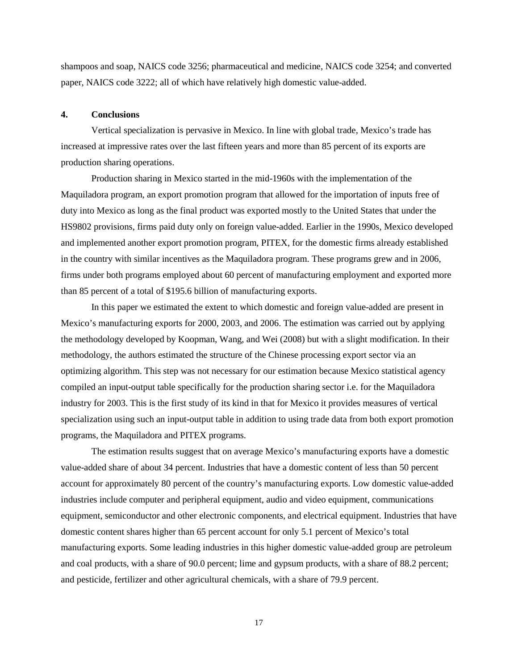shampoos and soap, NAICS code 3256; pharmaceutical and medicine, NAICS code 3254; and converted paper, NAICS code 3222; all of which have relatively high domestic value-added.

## **4. Conclusions**

Vertical specialization is pervasive in Mexico. In line with global trade, Mexico's trade has increased at impressive rates over the last fifteen years and more than 85 percent of its exports are production sharing operations.

Production sharing in Mexico started in the mid-1960s with the implementation of the Maquiladora program, an export promotion program that allowed for the importation of inputs free of duty into Mexico as long as the final product was exported mostly to the United States that under the HS9802 provisions, firms paid duty only on foreign value-added. Earlier in the 1990s, Mexico developed and implemented another export promotion program, PITEX, for the domestic firms already established in the country with similar incentives as the Maquiladora program. These programs grew and in 2006, firms under both programs employed about 60 percent of manufacturing employment and exported more than 85 percent of a total of \$195.6 billion of manufacturing exports.

In this paper we estimated the extent to which domestic and foreign value-added are present in Mexico's manufacturing exports for 2000, 2003, and 2006. The estimation was carried out by applying the methodology developed by Koopman, Wang, and Wei (2008) but with a slight modification. In their methodology, the authors estimated the structure of the Chinese processing export sector via an optimizing algorithm. This step was not necessary for our estimation because Mexico statistical agency compiled an input-output table specifically for the production sharing sector i.e. for the Maquiladora industry for 2003. This is the first study of its kind in that for Mexico it provides measures of vertical specialization using such an input-output table in addition to using trade data from both export promotion programs, the Maquiladora and PITEX programs.

The estimation results suggest that on average Mexico's manufacturing exports have a domestic value-added share of about 34 percent. Industries that have a domestic content of less than 50 percent account for approximately 80 percent of the country's manufacturing exports. Low domestic value-added industries include computer and peripheral equipment, audio and video equipment, communications equipment, semiconductor and other electronic components, and electrical equipment. Industries that have domestic content shares higher than 65 percent account for only 5.1 percent of Mexico's total manufacturing exports. Some leading industries in this higher domestic value-added group are petroleum and coal products, with a share of 90.0 percent; lime and gypsum products, with a share of 88.2 percent; and pesticide, fertilizer and other agricultural chemicals, with a share of 79.9 percent.

17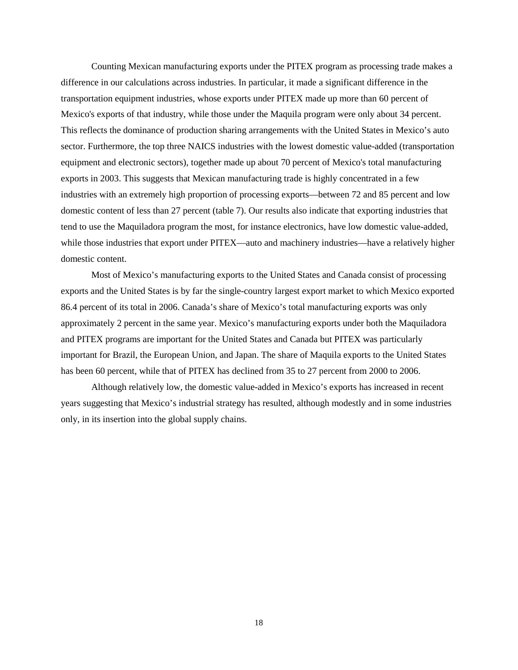Counting Mexican manufacturing exports under the PITEX program as processing trade makes a difference in our calculations across industries. In particular, it made a significant difference in the transportation equipment industries, whose exports under PITEX made up more than 60 percent of Mexico's exports of that industry, while those under the Maquila program were only about 34 percent. This reflects the dominance of production sharing arrangements with the United States in Mexico's auto sector. Furthermore, the top three NAICS industries with the lowest domestic value-added (transportation equipment and electronic sectors), together made up about 70 percent of Mexico's total manufacturing exports in 2003. This suggests that Mexican manufacturing trade is highly concentrated in a few industries with an extremely high proportion of processing exports—between 72 and 85 percent and low domestic content of less than 27 percent (table 7). Our results also indicate that exporting industries that tend to use the Maquiladora program the most, for instance electronics, have low domestic value-added, while those industries that export under PITEX—auto and machinery industries—have a relatively higher domestic content.

Most of Mexico's manufacturing exports to the United States and Canada consist of processing exports and the United States is by far the single-country largest export market to which Mexico exported 86.4 percent of its total in 2006. Canada's share of Mexico's total manufacturing exports was only approximately 2 percent in the same year. Mexico's manufacturing exports under both the Maquiladora and PITEX programs are important for the United States and Canada but PITEX was particularly important for Brazil, the European Union, and Japan. The share of Maquila exports to the United States has been 60 percent, while that of PITEX has declined from 35 to 27 percent from 2000 to 2006.

Although relatively low, the domestic value-added in Mexico's exports has increased in recent years suggesting that Mexico's industrial strategy has resulted, although modestly and in some industries only, in its insertion into the global supply chains.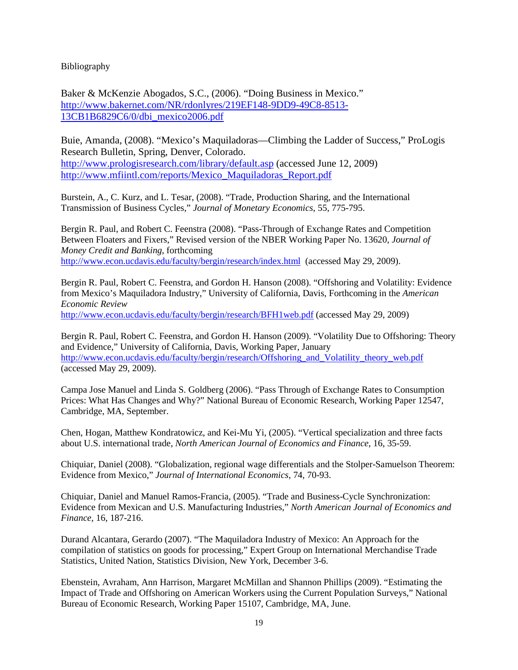Bibliography

Baker & McKenzie Abogados, S.C., (2006). "Doing Business in Mexico." [http://www.bakernet.com/NR/rdonlyres/219EF148-9DD9-49C8-8513-](http://www.bakernet.com/NR/rdonlyres/219EF148-9DD9-49C8-8513-13CB1B6829C6/0/dbi_mexico2006.pdf) [13CB1B6829C6/0/dbi\\_mexico2006.pdf](http://www.bakernet.com/NR/rdonlyres/219EF148-9DD9-49C8-8513-13CB1B6829C6/0/dbi_mexico2006.pdf)

Buie, Amanda, (2008). "Mexico's Maquiladoras—Climbing the Ladder of Success," ProLogis Research Bulletin, Spring, Denver, Colorado. <http://www.prologisresearch.com/library/default.asp> (accessed June 12, 2009) [http://www.mfiintl.com/reports/Mexico\\_Maquiladoras\\_Report.pdf](http://www.mfiintl.com/reports/Mexico_Maquiladoras_Report.pdf)

Burstein, A., C. Kurz, and L. Tesar, (2008). "Trade, Production Sharing, and the International Transmission of Business Cycles," *Journal of Monetary Economics*, 55, 775-795.

Bergin R. Paul, and Robert C. Feenstra (2008). "Pass-Through of Exchange Rates and Competition Between Floaters and Fixers," Revised version of the NBER Working Paper No. 13620, *Journal of Money Credit and Banking*, forthcoming <http://www.econ.ucdavis.edu/faculty/bergin/research/index.html>(accessed May 29, 2009).

Bergin R. Paul, Robert C. Feenstra, and Gordon H. Hanson (2008). "Offshoring and Volatility: Evidence from Mexico's Maquiladora Industry," University of California, Davis, Forthcoming in the *American Economic Review*

<http://www.econ.ucdavis.edu/faculty/bergin/research/BFH1web.pdf> (accessed May 29, 2009)

Bergin R. Paul, Robert C. Feenstra, and Gordon H. Hanson (2009). "Volatility Due to Offshoring: Theory and Evidence," University of California, Davis, Working Paper, January [http://www.econ.ucdavis.edu/faculty/bergin/research/Offshoring\\_and\\_Volatility\\_theory\\_web.pdf](http://www.econ.ucdavis.edu/faculty/bergin/research/Offshoring_and_Volatility_theory_web.pdf) (accessed May 29, 2009).

Campa Jose Manuel and Linda S. Goldberg (2006). "Pass Through of Exchange Rates to Consumption Prices: What Has Changes and Why?" National Bureau of Economic Research, Working Paper 12547, Cambridge, MA, September.

Chen, Hogan, Matthew Kondratowicz, and Kei-Mu Yi, (2005). "Vertical specialization and three facts about U.S. international trade, *North American Journal of Economics and Finance*, 16, 35-59.

Chiquiar, Daniel (2008). "Globalization, regional wage differentials and the Stolper-Samuelson Theorem: Evidence from Mexico," *Journal of International Economics*, 74, 70-93.

Chiquiar, Daniel and Manuel Ramos-Francia, (2005). "Trade and Business-Cycle Synchronization: Evidence from Mexican and U.S. Manufacturing Industries," *North American Journal of Economics and Finance*, 16, 187-216.

Durand Alcantara, Gerardo (2007). "The Maquiladora Industry of Mexico: An Approach for the compilation of statistics on goods for processing," Expert Group on International Merchandise Trade Statistics, United Nation, Statistics Division, New York, December 3-6.

Ebenstein, Avraham, Ann Harrison, Margaret McMillan and Shannon Phillips (2009). "Estimating the Impact of Trade and Offshoring on American Workers using the Current Population Surveys," National Bureau of Economic Research, Working Paper 15107, Cambridge, MA, June.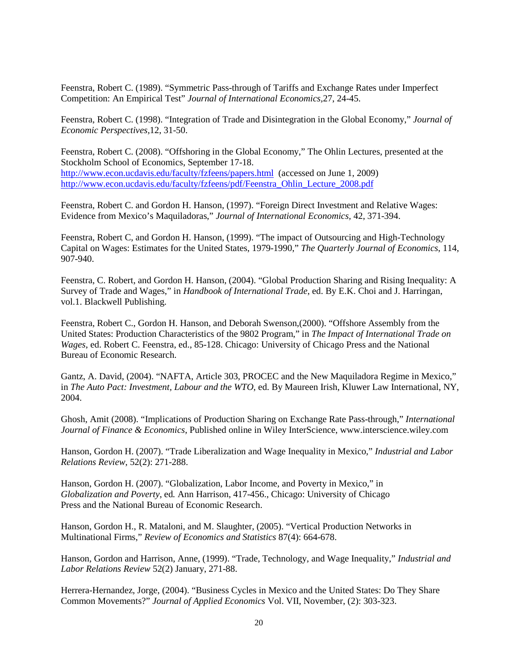Feenstra, Robert C. (1989). "Symmetric Pass-through of Tariffs and Exchange Rates under Imperfect Competition: An Empirical Test" *Journal of International Economics,*27, 24-45.

Feenstra, Robert C. (1998). "Integration of Trade and Disintegration in the Global Economy," *Journal of Economic Perspectives,*12, 31-50.

Feenstra, Robert C. (2008). "Offshoring in the Global Economy," The Ohlin Lectures, presented at the Stockholm School of Economics, September 17-18. <http://www.econ.ucdavis.edu/faculty/fzfeens/papers.html>(accessed on June 1, 2009) [http://www.econ.ucdavis.edu/faculty/fzfeens/pdf/Feenstra\\_Ohlin\\_Lecture\\_2008.pdf](http://www.econ.ucdavis.edu/faculty/fzfeens/pdf/Feenstra_Ohlin_Lecture_2008.pdf)

Feenstra, Robert C. and Gordon H. Hanson, (1997). "Foreign Direct Investment and Relative Wages: Evidence from Mexico's Maquiladoras," *Journal of International Economics,* 42, 371-394.

Feenstra, Robert C, and Gordon H. Hanson, (1999). "The impact of Outsourcing and High-Technology Capital on Wages: Estimates for the United States, 1979-1990," *The Quarterly Journal of Economics*, 114, 907-940.

Feenstra, C. Robert, and Gordon H. Hanson, (2004). "Global Production Sharing and Rising Inequality: A Survey of Trade and Wages," in *Handbook of International Trade*, ed. By E.K. Choi and J. Harringan, vol.1. Blackwell Publishing.

Feenstra, Robert C., Gordon H. Hanson, and Deborah Swenson,(2000). "Offshore Assembly from the United States: Production Characteristics of the 9802 Program," in *The Impact of International Trade on Wages*, ed. Robert C. Feenstra, ed., 85-128. Chicago: University of Chicago Press and the National Bureau of Economic Research.

Gantz, A. David, (2004). "NAFTA, Article 303, PROCEC and the New Maquiladora Regime in Mexico," in *The Auto Pact: Investment, Labour and the WTO*, ed. By Maureen Irish, Kluwer Law International, NY, 2004.

Ghosh, Amit (2008). "Implications of Production Sharing on Exchange Rate Pass-through," *International Journal of Finance & Economics*, Published online in Wiley InterScience, www.interscience.wiley.com

Hanson, Gordon H. (2007). "Trade Liberalization and Wage Inequality in Mexico," *Industrial and Labor Relations Review*, 52(2): 271-288.

Hanson, Gordon H. (2007). "Globalization, Labor Income, and Poverty in Mexico," in *Globalization and Poverty*, ed*.* Ann Harrison, 417-456., Chicago: University of Chicago Press and the National Bureau of Economic Research.

Hanson, Gordon H., R. Mataloni, and M. Slaughter, (2005). "Vertical Production Networks in Multinational Firms," *Review of Economics and Statistics* 87(4): 664-678.

Hanson, Gordon and Harrison, Anne, (1999). "Trade, Technology, and Wage Inequality," *Industrial and Labor Relations Review* 52(2) January, 271-88.

Herrera-Hernandez, Jorge, (2004). "Business Cycles in Mexico and the United States: Do They Share Common Movements?" *Journal of Applied Economics* Vol. VII, November, (2): 303-323.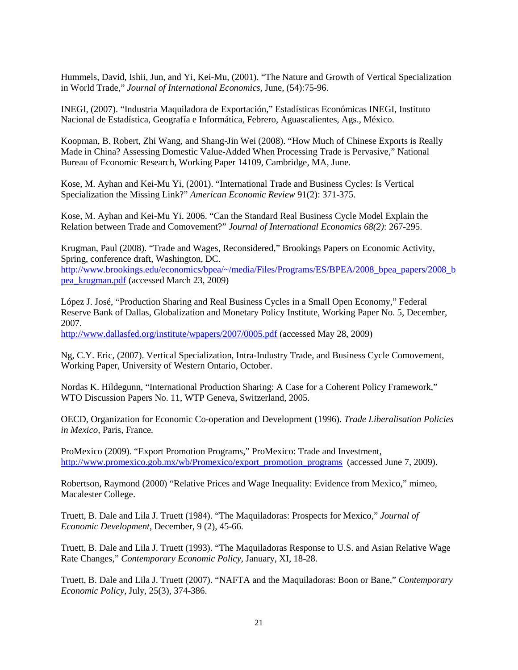Hummels, David, Ishii, Jun, and Yi, Kei-Mu, (2001). "The Nature and Growth of Vertical Specialization in World Trade," *Journal of International Economics*, June, (54):75-96.

INEGI, (2007). "Industria Maquiladora de Exportación," Estadísticas Económicas INEGI, Instituto Nacional de Estadística, Geografía e Informática, Febrero, Aguascalientes, Ags., México.

Koopman, B. Robert, Zhi Wang, and Shang-Jin Wei (2008). "How Much of Chinese Exports is Really Made in China? Assessing Domestic Value-Added When Processing Trade is Pervasive," National Bureau of Economic Research, Working Paper 14109, Cambridge, MA, June.

Kose, M. Ayhan and Kei-Mu Yi, (2001). "International Trade and Business Cycles: Is Vertical Specialization the Missing Link?" *American Economic Review* 91(2): 371-375.

Kose, M. Ayhan and Kei-Mu Yi. 2006. "Can the Standard Real Business Cycle Model Explain the Relation between Trade and Comovement?" *Journal of International Economics 68(2)*: 267-295.

Krugman, Paul (2008). "Trade and Wages, Reconsidered," Brookings Papers on Economic Activity, Spring, conference draft, Washington, DC.

[http://www.brookings.edu/economics/bpea/~/media/Files/Programs/ES/BPEA/2008\\_bpea\\_papers/2008\\_b](http://www.brookings.edu/economics/bpea/~/media/Files/Programs/ES/BPEA/2008_bpea_papers/2008_bpea_krugman.pdf) [pea\\_krugman.pdf](http://www.brookings.edu/economics/bpea/~/media/Files/Programs/ES/BPEA/2008_bpea_papers/2008_bpea_krugman.pdf) (accessed March 23, 2009)

López J. José, "Production Sharing and Real Business Cycles in a Small Open Economy," Federal Reserve Bank of Dallas, Globalization and Monetary Policy Institute, Working Paper No. 5, December, 2007.

<http://www.dallasfed.org/institute/wpapers/2007/0005.pdf> (accessed May 28, 2009)

Ng, C.Y. Eric, (2007). Vertical Specialization, Intra-Industry Trade, and Business Cycle Comovement, Working Paper, University of Western Ontario, October.

Nordas K. Hildegunn, "International Production Sharing: A Case for a Coherent Policy Framework," WTO Discussion Papers No. 11, WTP Geneva, Switzerland, 2005.

OECD, Organization for Economic Co-operation and Development (1996). *Trade Liberalisation Policies in Mexico,* Paris, France*.*

ProMexico (2009). "Export Promotion Programs," ProMexico: Trade and Investment, [http://www.promexico.gob.mx/wb/Promexico/export\\_promotion\\_programs](http://www.promexico.gob.mx/wb/Promexico/export_promotion_programs) (accessed June 7, 2009).

Robertson, Raymond (2000) "Relative Prices and Wage Inequality: Evidence from Mexico," mimeo, Macalester College.

Truett, B. Dale and Lila J. Truett (1984). "The Maquiladoras: Prospects for Mexico," *Journal of Economic Development*, December, 9 (2), 45-66.

Truett, B. Dale and Lila J. Truett (1993). "The Maquiladoras Response to U.S. and Asian Relative Wage Rate Changes," *Contemporary Economic Policy*, January, XI, 18-28.

Truett, B. Dale and Lila J. Truett (2007). "NAFTA and the Maquiladoras: Boon or Bane," *Contemporary Economic Policy*, July, 25(3), 374-386.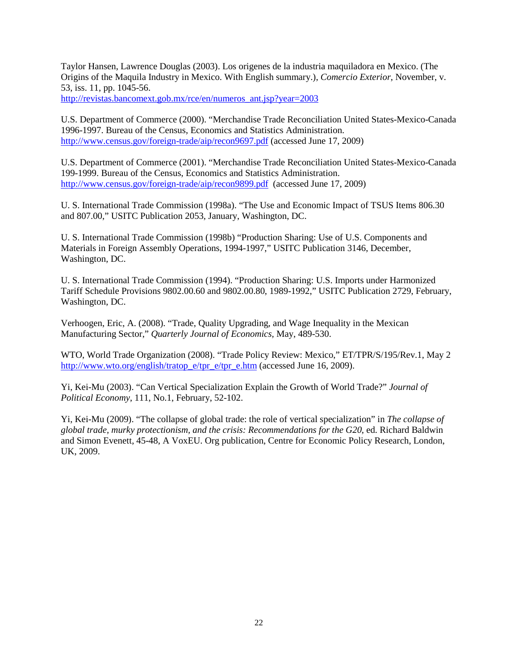Taylor Hansen, Lawrence Douglas (2003). Los origenes de la industria maquiladora en Mexico. (The Origins of the Maquila Industry in Mexico. With English summary.), *Comercio Exterior*, November, v. 53, iss. 11, pp. 1045-56.

[http://revistas.bancomext.gob.mx/rce/en/numeros\\_ant.jsp?year=2003](http://revistas.bancomext.gob.mx/rce/en/numeros_ant.jsp?year=2003)

U.S. Department of Commerce (2000). "Merchandise Trade Reconciliation United States-Mexico-Canada 1996-1997. Bureau of the Census, Economics and Statistics Administration. <http://www.census.gov/foreign-trade/aip/recon9697.pdf> (accessed June 17, 2009)

U.S. Department of Commerce (2001). "Merchandise Trade Reconciliation United States-Mexico-Canada 199-1999. Bureau of the Census, Economics and Statistics Administration. <http://www.census.gov/foreign-trade/aip/recon9899.pdf>(accessed June 17, 2009)

U. S. International Trade Commission (1998a). "The Use and Economic Impact of TSUS Items 806.30 and 807.00," USITC Publication 2053, January, Washington, DC.

U. S. International Trade Commission (1998b) "Production Sharing: Use of U.S. Components and Materials in Foreign Assembly Operations, 1994-1997," USITC Publication 3146, December, Washington, DC.

U. S. International Trade Commission (1994). "Production Sharing: U.S. Imports under Harmonized Tariff Schedule Provisions 9802.00.60 and 9802.00.80, 1989-1992," USITC Publication 2729, February, Washington, DC.

Verhoogen, Eric, A. (2008). "Trade, Quality Upgrading, and Wage Inequality in the Mexican Manufacturing Sector," *Quarterly Journal of Economics,* May, 489-530.

WTO, World Trade Organization (2008). "Trade Policy Review: Mexico," ET/TPR/S/195/Rev.1, May 2 [http://www.wto.org/english/tratop\\_e/tpr\\_e/tpr\\_e.htm](http://www.wto.org/english/tratop_e/tpr_e/tpr_e.htm) (accessed June 16, 2009).

Yi, Kei-Mu (2003). "Can Vertical Specialization Explain the Growth of World Trade?" *Journal of Political Economy*, 111, No.1, February, 52-102.

Yi, Kei-Mu (2009). "The collapse of global trade: the role of vertical specialization" in *The collapse of global trade, murky protectionism, and the crisis: Recommendations for the G20*, ed. Richard Baldwin and Simon Evenett, 45-48, A VoxEU. Org publication, Centre for Economic Policy Research, London, UK, 2009.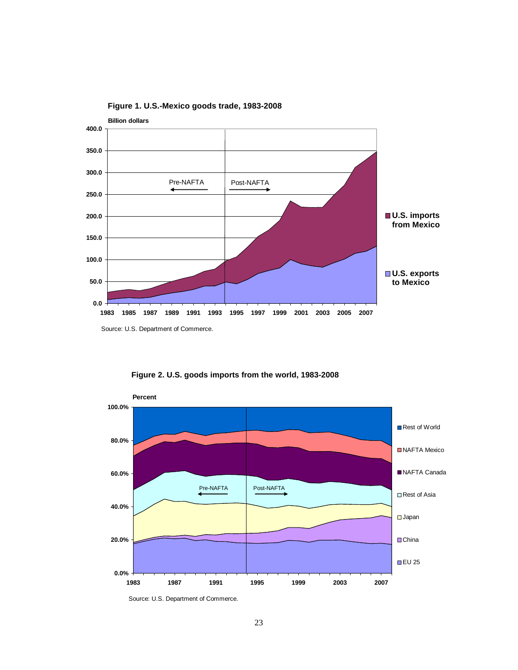

**Figure 1. U.S.-Mexico goods trade, 1983-2008**



**Figure 2. U.S. goods imports from the world, 1983-2008**

**0.0%**

**1983 1987 1991 1995 1999 2003 2007**

**EU 25** 

Source: U.S. Department of Commerce.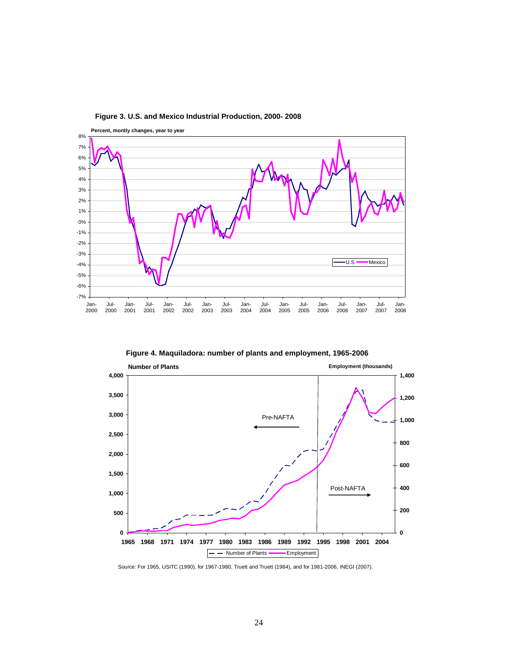

**Figure 3. U.S. and Mexico Industrial Production, 2000- 2008**

**Figure 4. Maquiladora: number of plants and employment, 1965-2006** 



Source: For 1965, USITC (1990), for 1967-1980, Truett and Truett (1984), and for 1981-2006, INEGI (2007).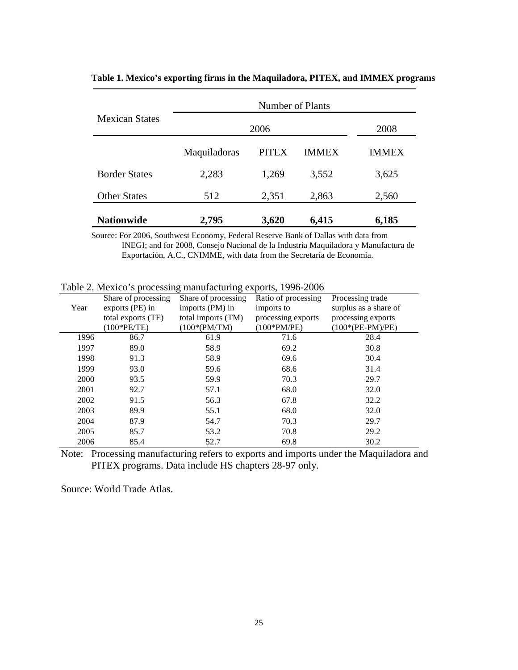|                       | Number of Plants |              |              |              |  |  |  |  |  |  |  |  |
|-----------------------|------------------|--------------|--------------|--------------|--|--|--|--|--|--|--|--|
| <b>Mexican States</b> |                  | 2006         |              | 2008         |  |  |  |  |  |  |  |  |
|                       | Maquiladoras     | <b>PITEX</b> | <b>IMMEX</b> | <b>IMMEX</b> |  |  |  |  |  |  |  |  |
| <b>Border States</b>  | 2,283            | 1,269        | 3,552        | 3,625        |  |  |  |  |  |  |  |  |
| <b>Other States</b>   | 512              | 2,351        | 2,863        | 2,560        |  |  |  |  |  |  |  |  |
| <b>Nationwide</b>     | 2,795            | 3,620        | 6,415        | 6,185        |  |  |  |  |  |  |  |  |

**Table 1. Mexico's exporting firms in the Maquiladora, PITEX, and IMMEX programs**

Source: For 2006, Southwest Economy, Federal Reserve Bank of Dallas with data from INEGI; and for 2008, Consejo Nacional de la Industria Maquiladora y Manufactura de Exportación, A.C., CNIMME, with data from the Secretaría de Economía.

Table 2. Mexico's processing manufacturing exports, 1996-2006

|      | Share of processing | Share of processing | Ratio of processing | Processing trade      |
|------|---------------------|---------------------|---------------------|-----------------------|
| Year | exports (PE) in     | imports (PM) in     | imports to          | surplus as a share of |
|      | total exports (TE)  | total imports (TM)  | processing exports  | processing exports    |
|      | (100*PE/TE)         | $(100*(PM/TM))$     | $(100*PM/PE)$       | $(100*(PE-PM)/PE)$    |
| 1996 | 86.7                | 61.9                | 71.6                | 28.4                  |
| 1997 | 89.0                | 58.9                | 69.2                | 30.8                  |
| 1998 | 91.3                | 58.9                | 69.6                | 30.4                  |
| 1999 | 93.0                | 59.6                | 68.6                | 31.4                  |
| 2000 | 93.5                | 59.9                | 70.3                | 29.7                  |
| 2001 | 92.7                | 57.1                | 68.0                | 32.0                  |
| 2002 | 91.5                | 56.3                | 67.8                | 32.2                  |
| 2003 | 89.9                | 55.1                | 68.0                | 32.0                  |
| 2004 | 87.9                | 54.7                | 70.3                | 29.7                  |
| 2005 | 85.7                | 53.2                | 70.8                | 29.2                  |
| 2006 | 85.4                | 52.7                | 69.8                | 30.2                  |

Note: Processing manufacturing refers to exports and imports under the Maquiladora and PITEX programs. Data include HS chapters 28-97 only.

Source: World Trade Atlas.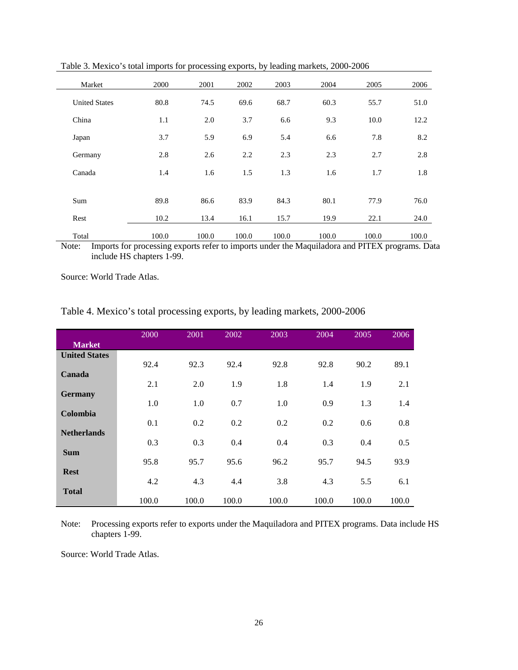| Market               | 2000  | 2001  | 2002  | 2003  | 2004  | 2005  | 2006  |
|----------------------|-------|-------|-------|-------|-------|-------|-------|
| <b>United States</b> | 80.8  | 74.5  | 69.6  | 68.7  | 60.3  | 55.7  | 51.0  |
| China                | 1.1   | 2.0   | 3.7   | 6.6   | 9.3   | 10.0  | 12.2  |
| Japan                | 3.7   | 5.9   | 6.9   | 5.4   | 6.6   | 7.8   | 8.2   |
| Germany              | 2.8   | 2.6   | 2.2   | 2.3   | 2.3   | 2.7   | 2.8   |
| Canada               | 1.4   | 1.6   | 1.5   | 1.3   | 1.6   | 1.7   | 1.8   |
|                      |       |       |       |       |       |       |       |
| Sum                  | 89.8  | 86.6  | 83.9  | 84.3  | 80.1  | 77.9  | 76.0  |
| Rest                 | 10.2  | 13.4  | 16.1  | 15.7  | 19.9  | 22.1  | 24.0  |
| Total                | 100.0 | 100.0 | 100.0 | 100.0 | 100.0 | 100.0 | 100.0 |

Table 3. Mexico's total imports for processing exports, by leading markets, 2000-2006

Note: Imports for processing exports refer to imports under the Maquiladora and PITEX programs. Data include HS chapters 1-99.

Source: World Trade Atlas.

Table 4. Mexico's total processing exports, by leading markets, 2000-2006

|                      | 2000  | 2001  | 2002  | 2003  | 2004  | 2005  | 2006  |
|----------------------|-------|-------|-------|-------|-------|-------|-------|
| <b>Market</b>        |       |       |       |       |       |       |       |
| <b>United States</b> |       |       |       |       |       |       |       |
|                      | 92.4  | 92.3  | 92.4  | 92.8  | 92.8  | 90.2  | 89.1  |
| Canada               |       |       |       |       |       |       |       |
|                      | 2.1   | 2.0   | 1.9   | 1.8   | 1.4   | 1.9   | 2.1   |
| <b>Germany</b>       | 1.0   | 1.0   | 0.7   | 1.0   | 0.9   | 1.3   | 1.4   |
| Colombia             |       |       |       |       |       |       |       |
|                      | 0.1   | 0.2   | 0.2   | 0.2   | 0.2   | 0.6   | 0.8   |
| <b>Netherlands</b>   |       |       |       |       |       |       |       |
|                      | 0.3   | 0.3   | 0.4   | 0.4   | 0.3   | 0.4   | 0.5   |
| <b>Sum</b>           |       |       |       |       |       |       |       |
|                      | 95.8  | 95.7  | 95.6  | 96.2  | 95.7  | 94.5  | 93.9  |
| <b>Rest</b>          |       |       |       |       |       |       |       |
|                      | 4.2   | 4.3   | 4.4   | 3.8   | 4.3   | 5.5   | 6.1   |
| <b>Total</b>         | 100.0 | 100.0 | 100.0 | 100.0 | 100.0 | 100.0 | 100.0 |
|                      |       |       |       |       |       |       |       |

Note: Processing exports refer to exports under the Maquiladora and PITEX programs. Data include HS chapters 1-99.

Source: World Trade Atlas.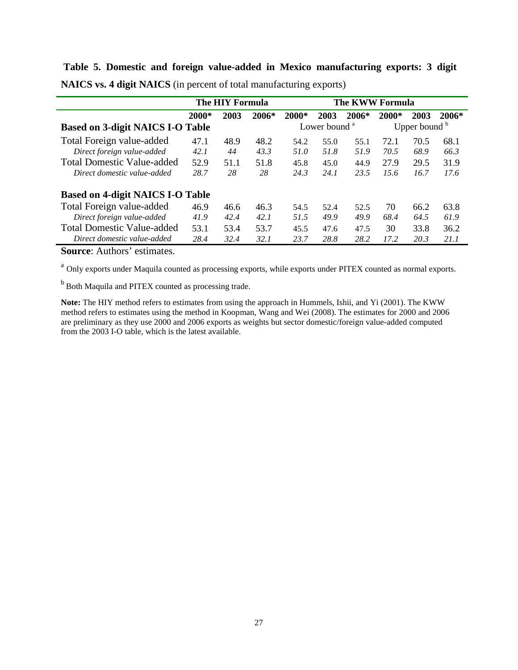**Table 5. Domestic and foreign value-added in Mexico manufacturing exports: 3 digit** 

|                                         |       | The HIY Formula |       |       | The KWW Formula          |       |                            |      |         |  |
|-----------------------------------------|-------|-----------------|-------|-------|--------------------------|-------|----------------------------|------|---------|--|
|                                         | 2000* | 2003            | 2006* | 2000* | 2003                     | 2006* | 2000*                      | 2003 | $2006*$ |  |
| <b>Based on 3-digit NAICS I-O Table</b> |       |                 |       |       | Lower bound <sup>a</sup> |       | Upper bound $\overline{b}$ |      |         |  |
| Total Foreign value-added               | 47.1  | 48.9            | 48.2  | 54.2  | 55.0                     | 55.1  | 72.1                       | 70.5 | 68.1    |  |
| Direct foreign value-added              | 42.1  | 44              | 43.3  | 51.0  | 51.8                     | 51.9  | 70.5                       | 68.9 | 66.3    |  |
| <b>Total Domestic Value-added</b>       | 52.9  | 51.1            | 51.8  | 45.8  | 45.0                     | 44.9  | 27.9                       | 29.5 | 31.9    |  |
| Direct domestic value-added             | 28.7  | 28              | 28    | 24.3  | 24.1                     | 23.5  | 15.6                       | 16.7 | 17.6    |  |
| <b>Based on 4-digit NAICS I-O Table</b> |       |                 |       |       |                          |       |                            |      |         |  |
| Total Foreign value-added               | 46.9  | 46.6            | 46.3  | 54.5  | 52.4                     | 52.5  | 70                         | 66.2 | 63.8    |  |
| Direct foreign value-added              | 41.9  | 42.4            | 42.1  | 51.5  | 49.9                     | 49.9  | 68.4                       | 64.5 | 61.9    |  |
| <b>Total Domestic Value-added</b>       | 53.1  | 53.4            | 53.7  | 45.5  | 47.6                     | 47.5  | 30                         | 33.8 | 36.2    |  |
| Direct domestic value-added             | 28.4  | 32.4            | 32.1  | 23.7  | 28.8                     | 28.2  | 17.2                       | 20.3 | 21.1    |  |

**NAICS vs. 4 digit NAICS** (in percent of total manufacturing exports)

**Source**: Authors' estimates.

<sup>a</sup> Only exports under Maquila counted as processing exports, while exports under PITEX counted as normal exports.

<sup>b</sup> Both Maquila and PITEX counted as processing trade.

**Note:** The HIY method refers to estimates from using the approach in Hummels, Ishii, and Yi (2001). The KWW method refers to estimates using the method in Koopman, Wang and Wei (2008). The estimates for 2000 and 2006 are preliminary as they use 2000 and 2006 exports as weights but sector domestic/foreign value-added computed from the 2003 I-O table, which is the latest available.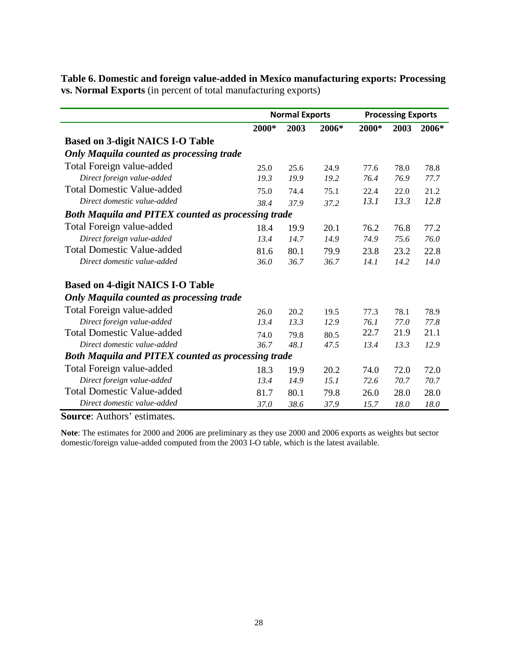|                                                           |       | <b>Normal Exports</b> |       | <b>Processing Exports</b> |      |       |
|-----------------------------------------------------------|-------|-----------------------|-------|---------------------------|------|-------|
|                                                           | 2000* | 2003                  | 2006* | 2000*                     | 2003 | 2006* |
| <b>Based on 3-digit NAICS I-O Table</b>                   |       |                       |       |                           |      |       |
| <b>Only Maquila counted as processing trade</b>           |       |                       |       |                           |      |       |
| Total Foreign value-added                                 | 25.0  | 25.6                  | 24.9  | 77.6                      | 78.0 | 78.8  |
| Direct foreign value-added                                | 19.3  | 19.9                  | 19.2  | 76.4                      | 76.9 | 77.7  |
| <b>Total Domestic Value-added</b>                         | 75.0  | 74.4                  | 75.1  | 22.4                      | 22.0 | 21.2  |
| Direct domestic value-added                               | 38.4  | 37.9                  | 37.2  | 13.1                      | 13.3 | 12.8  |
| <b>Both Maquila and PITEX counted as processing trade</b> |       |                       |       |                           |      |       |
| Total Foreign value-added                                 | 18.4  | 19.9                  | 20.1  | 76.2                      | 76.8 | 77.2  |
| Direct foreign value-added                                | 13.4  | 14.7                  | 14.9  | 74.9                      | 75.6 | 76.0  |
| <b>Total Domestic Value-added</b>                         | 81.6  | 80.1                  | 79.9  | 23.8                      | 23.2 | 22.8  |
| Direct domestic value-added                               | 36.0  | 36.7                  | 36.7  | 14.1                      | 14.2 | 14.0  |
| <b>Based on 4-digit NAICS I-O Table</b>                   |       |                       |       |                           |      |       |
| <b>Only Maquila counted as processing trade</b>           |       |                       |       |                           |      |       |
| Total Foreign value-added                                 | 26.0  | 20.2                  | 19.5  | 77.3                      | 78.1 | 78.9  |
| Direct foreign value-added                                | 13.4  | 13.3                  | 12.9  | 76.1                      | 77.0 | 77.8  |
| <b>Total Domestic Value-added</b>                         | 74.0  | 79.8                  | 80.5  | 22.7                      | 21.9 | 21.1  |
| Direct domestic value-added                               | 36.7  | 48.1                  | 47.5  | 13.4                      | 13.3 | 12.9  |
| <b>Both Maquila and PITEX counted as processing trade</b> |       |                       |       |                           |      |       |
| Total Foreign value-added                                 | 18.3  | 19.9                  | 20.2  | 74.0                      | 72.0 | 72.0  |
| Direct foreign value-added                                | 13.4  | 14.9                  | 15.1  | 72.6                      | 70.7 | 70.7  |
| <b>Total Domestic Value-added</b>                         | 81.7  | 80.1                  | 79.8  | 26.0                      | 28.0 | 28.0  |
| Direct domestic value-added                               | 37.0  | 38.6                  | 37.9  | 15.7                      | 18.0 | 18.0  |

**Table 6. Domestic and foreign value-added in Mexico manufacturing exports: Processing vs. Normal Exports** (in percent of total manufacturing exports)

**Source**: Authors' estimates.

**Note**: The estimates for 2000 and 2006 are preliminary as they use 2000 and 2006 exports as weights but sector domestic/foreign value-added computed from the 2003 I-O table, which is the latest available.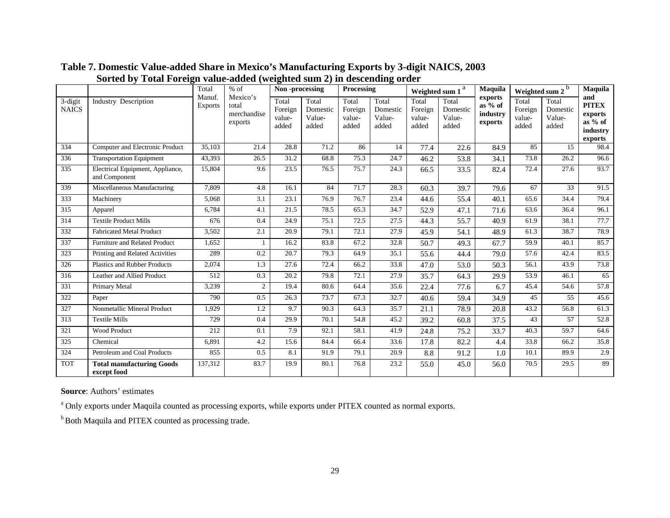|                         |                                                   | Total                    | $%$ of                                      | Non-processing                      |                                      | Processing                          |                                      |                                     | Weighted sum 1 <sup>a</sup>          | <b>Maquila</b>                              | Weighted sum 2 <sup>b</sup>         |                                      | Maquila                                                            |
|-------------------------|---------------------------------------------------|--------------------------|---------------------------------------------|-------------------------------------|--------------------------------------|-------------------------------------|--------------------------------------|-------------------------------------|--------------------------------------|---------------------------------------------|-------------------------------------|--------------------------------------|--------------------------------------------------------------------|
| 3-digit<br><b>NAICS</b> | Industry Description                              | Manuf.<br><b>Exports</b> | Mexico's<br>total<br>merchandise<br>exports | Total<br>Foreign<br>value-<br>added | Total<br>Domestic<br>Value-<br>added | Total<br>Foreign<br>value-<br>added | Total<br>Domestic<br>Value-<br>added | Total<br>Foreign<br>value-<br>added | Total<br>Domestic<br>Value-<br>added | exports<br>as $%$ of<br>industry<br>exports | Total<br>Foreign<br>value-<br>added | Total<br>Domestic<br>Value-<br>added | and<br><b>PITEX</b><br>exports<br>as $%$ of<br>industry<br>exports |
| 334                     | Computer and Electronic Product                   | 35,103                   | 21.4                                        | 28.8                                | 71.2                                 | 86                                  | 14                                   | 77.4                                | 22.6                                 | 84.9                                        | 85                                  | 15                                   | 98.4                                                               |
| 336                     | <b>Transportation Equipment</b>                   | 43,393                   | 26.5                                        | 31.2                                | 68.8                                 | 75.3                                | 24.7                                 | 46.2                                | 53.8                                 | 34.1                                        | 73.8                                | 26.2                                 | 96.6                                                               |
| 335                     | Electrical Equipment, Appliance,<br>and Component | 15,804                   | 9.6                                         | 23.5                                | 76.5                                 | 75.7                                | 24.3                                 | 66.5                                | 33.5                                 | 82.4                                        | 72.4                                | 27.6                                 | 93.7                                                               |
| 339                     | Miscellaneous Manufacturing                       | 7,809                    | 4.8                                         | 16.1                                | 84                                   | 71.7                                | 28.3                                 | 60.3                                | 39.7                                 | 79.6                                        | 67                                  | 33                                   | 91.5                                                               |
| 333                     | Machinery                                         | 5,068                    | 3.1                                         | 23.1                                | 76.9                                 | 76.7                                | 23.4                                 | 44.6                                | 55.4                                 | 40.1                                        | 65.6                                | 34.4                                 | 79.4                                                               |
| 315                     | Apparel                                           | 6,784                    | 4.1                                         | 21.5                                | 78.5                                 | 65.3                                | 34.7                                 | 52.9                                | 47.1                                 | 71.6                                        | 63.6                                | 36.4                                 | 96.1                                                               |
| 314                     | <b>Textile Product Mills</b>                      | 676                      | 0.4                                         | 24.9                                | 75.1                                 | 72.5                                | 27.5                                 | 44.3                                | 55.7                                 | 40.9                                        | 61.9                                | 38.1                                 | 77.7                                                               |
| 332                     | <b>Fabricated Metal Product</b>                   | 3,502                    | 2.1                                         | 20.9                                | 79.1                                 | 72.1                                | 27.9                                 | 45.9                                | 54.1                                 | 48.9                                        | 61.3                                | 38.7                                 | 78.9                                                               |
| 337                     | Furniture and Related Product                     | 1,652                    |                                             | 16.2                                | 83.8                                 | 67.2                                | 32.8                                 | 50.7                                | 49.3                                 | 67.7                                        | 59.9                                | 40.1                                 | 85.7                                                               |
| 323                     | Printing and Related Activities                   | 289                      | 0.2                                         | 20.7                                | 79.3                                 | 64.9                                | 35.1                                 | 55.6                                | 44.4                                 | 79.0                                        | 57.6                                | 42.4                                 | 83.5                                                               |
| 326                     | <b>Plastics and Rubber Products</b>               | 2,074                    | 1.3                                         | 27.6                                | 72.4                                 | 66.2                                | 33.8                                 | 47.0                                | 53.0                                 | 50.3                                        | 56.1                                | 43.9                                 | 73.8                                                               |
| 316                     | Leather and Allied Product                        | 512                      | 0.3                                         | 20.2                                | 79.8                                 | 72.1                                | 27.9                                 | 35.7                                | 64.3                                 | 29.9                                        | 53.9                                | 46.1                                 | 65                                                                 |
| 331                     | Primary Metal                                     | 3,239                    | $\overline{c}$                              | 19.4                                | 80.6                                 | 64.4                                | 35.6                                 | 22.4                                | 77.6                                 | 6.7                                         | 45.4                                | 54.6                                 | 57.8                                                               |
| 322                     | Paper                                             | 790                      | 0.5                                         | 26.3                                | 73.7                                 | 67.3                                | 32.7                                 | 40.6                                | 59.4                                 | 34.9                                        | 45                                  | 55                                   | 45.6                                                               |
| 327                     | Nonmetallic Mineral Product                       | 1,929                    | 1.2                                         | 9.7                                 | 90.3                                 | 64.3                                | 35.7                                 | 21.1                                | 78.9                                 | 20.8                                        | 43.2                                | 56.8                                 | 61.3                                                               |
| 313                     | <b>Textile Mills</b>                              | 729                      | 0.4                                         | 29.9                                | 70.1                                 | 54.8                                | 45.2                                 | 39.2                                | 60.8                                 | 37.5                                        | 43                                  | 57                                   | 52.8                                                               |
| 321                     | Wood Product                                      | 212                      | 0.1                                         | 7.9                                 | 92.1                                 | 58.1                                | 41.9                                 | 24.8                                | 75.2                                 | 33.7                                        | 40.3                                | 59.7                                 | 64.6                                                               |
| 325                     | Chemical                                          | 6,891                    | 4.2                                         | 15.6                                | 84.4                                 | 66.4                                | 33.6                                 | 17.8                                | 82.2                                 | 4.4                                         | 33.8                                | 66.2                                 | 35.8                                                               |
| 324                     | Petroleum and Coal Products                       | 855                      | 0.5                                         | 8.1                                 | 91.9                                 | 79.1                                | 20.9                                 | 8.8                                 | 91.2                                 | 1.0                                         | 10.1                                | 89.9                                 | 2.9                                                                |
| <b>TOT</b>              | <b>Total manufacturing Goods</b><br>except food   | 137,312                  | 83.7                                        | 19.9                                | 80.1                                 | 76.8                                | 23.2                                 | 55.0                                | 45.0                                 | 56.0                                        | 70.5                                | 29.5                                 | 89                                                                 |

# **Table 7. Domestic Value-added Share in Mexico's Manufacturing Exports by 3-digit NAICS, 2003 Sorted by Total Foreign value-added (weighted sum 2) in descending order**

**Source**: Authors' estimates

<sup>a</sup> Only exports under Maquila counted as processing exports, while exports under PITEX counted as normal exports.

**b** Both Maquila and PITEX counted as processing trade.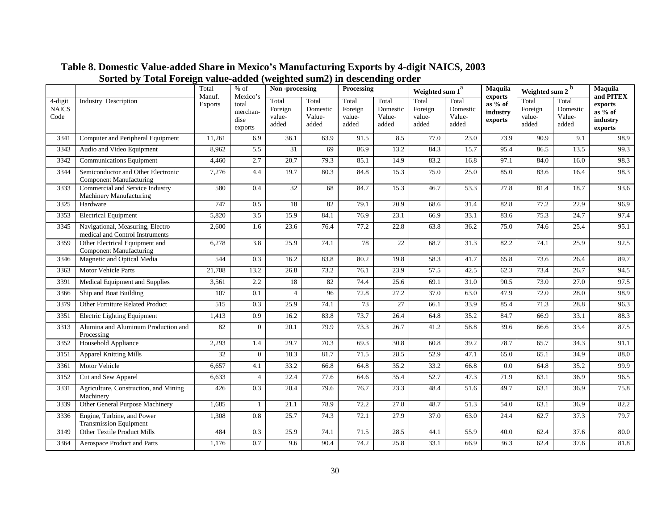|                                 |                                                                      | Total<br>Manuf. | $%$ of<br>Mexico's                   | Non-processing                      |                                      | Processing                          |                                      | Weighted sum $1^{\overline{a}}$     |                                      | Maquila                                   | Weighted sum $2^b$                  | Maquila<br>and PITEX                 |                                           |
|---------------------------------|----------------------------------------------------------------------|-----------------|--------------------------------------|-------------------------------------|--------------------------------------|-------------------------------------|--------------------------------------|-------------------------------------|--------------------------------------|-------------------------------------------|-------------------------------------|--------------------------------------|-------------------------------------------|
| 4-digit<br><b>NAICS</b><br>Code | <b>Industry Description</b>                                          | <b>Exports</b>  | total<br>merchan-<br>dise<br>exports | Total<br>Foreign<br>value-<br>added | Total<br>Domestic<br>Value-<br>added | Total<br>Foreign<br>value-<br>added | Total<br>Domestic<br>Value-<br>added | Total<br>Foreign<br>value-<br>added | Total<br>Domestic<br>Value-<br>added | exports<br>as % of<br>industry<br>exports | Total<br>Foreign<br>value-<br>added | Total<br>Domestic<br>Value-<br>added | exports<br>as % of<br>industry<br>exports |
| 3341                            | Computer and Peripheral Equipment                                    | 11,261          | 6.9                                  | 36.1                                | 63.9                                 | 91.5                                | 8.5                                  | 77.0                                | 23.0                                 | 73.9                                      | 90.9                                | 9.1                                  | 98.9                                      |
| 3343                            | Audio and Video Equipment                                            | 8,962           | 5.5                                  | 31                                  | 69                                   | 86.9                                | 13.2                                 | 84.3                                | 15.7                                 | 95.4                                      | 86.5                                | 13.5                                 | 99.3                                      |
| 3342                            | <b>Communications Equipment</b>                                      | 4,460           | 2.7                                  | 20.7                                | 79.3                                 | 85.1                                | 14.9                                 | 83.2                                | 16.8                                 | 97.1                                      | 84.0                                | 16.0                                 | 98.3                                      |
| 3344                            | Semiconductor and Other Electronic<br><b>Component Manufacturing</b> | 7,276           | 4.4                                  | 19.7                                | 80.3                                 | 84.8                                | 15.3                                 | 75.0                                | 25.0                                 | 85.0                                      | 83.6                                | 16.4                                 | 98.3                                      |
| 3333                            | Commercial and Service Industry<br>Machinery Manufacturing           | 580             | 0.4                                  | 32                                  | 68                                   | 84.7                                | 15.3                                 | 46.7                                | 53.3                                 | 27.8                                      | 81.4                                | 18.7                                 | 93.6                                      |
| 3325                            | Hardware                                                             | 747             | 0.5                                  | 18                                  | 82                                   | 79.1                                | 20.9                                 | 68.6                                | 31.4                                 | 82.8                                      | 77.2                                | 22.9                                 | 96.9                                      |
| 3353                            | <b>Electrical Equipment</b>                                          | 5,820           | $\overline{3.5}$                     | 15.9                                | 84.1                                 | 76.9                                | 23.1                                 | 66.9                                | 33.1                                 | 83.6                                      | 75.3                                | 24.7                                 | 97.4                                      |
| 3345                            | Navigational, Measuring, Electro<br>medical and Control Instruments  | 2,600           | 1.6                                  | 23.6                                | 76.4                                 | 77.2                                | 22.8                                 | 63.8                                | 36.2                                 | 75.0                                      | 74.6                                | 25.4                                 | 95.1                                      |
| 3359                            | Other Electrical Equipment and<br><b>Component Manufacturing</b>     | 6,278           | 3.8                                  | 25.9                                | 74.1                                 | 78                                  | $\overline{22}$                      | 68.7                                | 31.3                                 | 82.2                                      | 74.1                                | 25.9                                 | 92.5                                      |
| 3346                            | Magnetic and Optical Media                                           | 544             | 0.3                                  | 16.2                                | 83.8                                 | 80.2                                | 19.8                                 | 58.3                                | 41.7                                 | 65.8                                      | 73.6                                | 26.4                                 | 89.7                                      |
| 3363                            | Motor Vehicle Parts                                                  | 21,708          | 13.2                                 | 26.8                                | 73.2                                 | 76.1                                | 23.9                                 | 57.5                                | 42.5                                 | 62.3                                      | 73.4                                | 26.7                                 | 94.5                                      |
| 3391                            | Medical Equipment and Supplies                                       | 3,561           | 2.2                                  | 18                                  | 82                                   | 74.4                                | 25.6                                 | 69.1                                | 31.0                                 | 90.5                                      | 73.0                                | 27.0                                 | 97.5                                      |
| 3366                            | Ship and Boat Building                                               | 107             | 0.1                                  | $\overline{4}$                      | 96                                   | 72.8                                | 27.2                                 | 37.0                                | 63.0                                 | 47.9                                      | 72.0                                | 28.0                                 | 98.9                                      |
| 3379                            | Other Furniture Related Product                                      | 515             | 0.3                                  | 25.9                                | 74.1                                 | 73                                  | $\overline{27}$                      | 66.1                                | 33.9                                 | 85.4                                      | 71.3                                | 28.8                                 | 96.3                                      |
| 3351                            | <b>Electric Lighting Equipment</b>                                   | 1,413           | 0.9                                  | 16.2                                | 83.8                                 | 73.7                                | 26.4                                 | 64.8                                | 35.2                                 | 84.7                                      | 66.9                                | 33.1                                 | 88.3                                      |
| 3313                            | Alumina and Aluminum Production and<br>Processing                    | 82              | $\overline{0}$                       | 20.1                                | 79.9                                 | 73.3                                | 26.7                                 | 41.2                                | 58.8                                 | 39.6                                      | 66.6                                | 33.4                                 | 87.5                                      |
| 3352                            | Household Appliance                                                  | 2,293           | 1.4                                  | $\overline{29.7}$                   | 70.3                                 | 69.3                                | 30.8                                 | 60.8                                | 39.2                                 | 78.7                                      | 65.7                                | 34.3                                 | 91.1                                      |
| 3151                            | <b>Apparel Knitting Mills</b>                                        | 32              | $\overline{0}$                       | 18.3                                | 81.7                                 | 71.5                                | 28.5                                 | 52.9                                | 47.1                                 | 65.0                                      | 65.1                                | 34.9                                 | 88.0                                      |
| 3361                            | Motor Vehicle                                                        | 6,657           | 4.1                                  | 33.2                                | 66.8                                 | 64.8                                | 35.2                                 | 33.2                                | 66.8                                 | 0.0                                       | 64.8                                | 35.2                                 | 99.9                                      |
| 3152                            | Cut and Sew Apparel                                                  | 6,633           | $\overline{4}$                       | $\overline{22.4}$                   | 77.6                                 | 64.6                                | 35.4                                 | 52.7                                | 47.3                                 | 71.9                                      | 63.1                                | 36.9                                 | 96.5                                      |
| 3331                            | Agriculture, Construction, and Mining<br>Machinery                   | 426             | 0.3                                  | 20.4                                | 79.6                                 | 76.7                                | 23.3                                 | 48.4                                | 51.6                                 | 49.7                                      | 63.1                                | 36.9                                 | 75.8                                      |
| 3339                            | Other General Purpose Machinery                                      | 1,685           | $\mathbf{1}$                         | 21.1                                | 78.9                                 | 72.2                                | 27.8                                 | 48.7                                | 51.3                                 | 54.0                                      | 63.1                                | 36.9                                 | 82.2                                      |
| 3336                            | Engine, Turbine, and Power<br><b>Transmission Equipment</b>          | 1,308           | 0.8                                  | 25.7                                | 74.3                                 | 72.1                                | 27.9                                 | 37.0                                | 63.0                                 | 24.4                                      | 62.7                                | 37.3                                 | 79.7                                      |
| 3149                            | Other Textile Product Mills                                          | 484             | 0.3                                  | 25.9                                | 74.1                                 | 71.5                                | 28.5                                 | 44.1                                | 55.9                                 | 40.0                                      | 62.4                                | 37.6                                 | 80.0                                      |
| 3364                            | Aerospace Product and Parts                                          | 1,176           | 0.7                                  | 9.6                                 | 90.4                                 | 74.2                                | 25.8                                 | 33.1                                | 66.9                                 | 36.3                                      | 62.4                                | 37.6                                 | 81.8                                      |

# **Table 8. Domestic Value-added Share in Mexico's Manufacturing Exports by 4-digit NAICS, 2003 Sorted by Total Foreign value-added (weighted sum2) in descending order**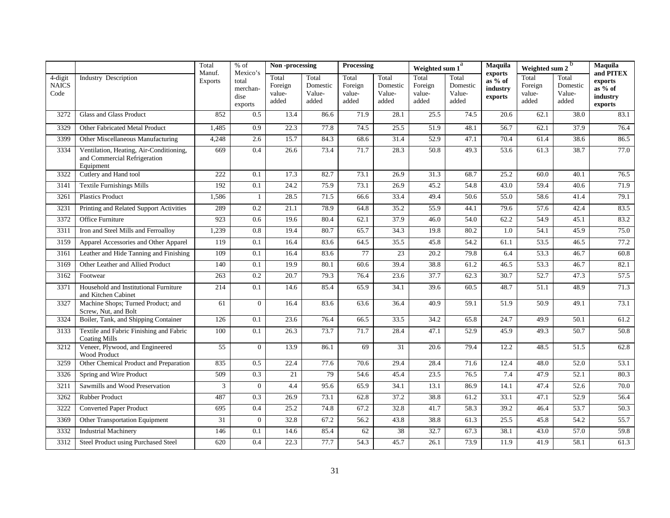|                                 |                                                                                      | Total                    | $%$ of                                           | Non-processing                      |                                      | Processing                          |                                      | Weighted sum 1                      | a                                    | Maquila                                   | b<br>Weighted sum 2                 |                                      | Maquila                                                                      |
|---------------------------------|--------------------------------------------------------------------------------------|--------------------------|--------------------------------------------------|-------------------------------------|--------------------------------------|-------------------------------------|--------------------------------------|-------------------------------------|--------------------------------------|-------------------------------------------|-------------------------------------|--------------------------------------|------------------------------------------------------------------------------|
| 4-digit<br><b>NAICS</b><br>Code | <b>Industry Description</b>                                                          | Manuf.<br><b>Exports</b> | Mexico's<br>total<br>merchan-<br>dise<br>exports | Total<br>Foreign<br>value-<br>added | Total<br>Domestic<br>Value-<br>added | Total<br>Foreign<br>value-<br>added | Total<br>Domestic<br>Value-<br>added | Total<br>Foreign<br>value-<br>added | Total<br>Domestic<br>Value-<br>added | exports<br>as % of<br>industry<br>exports | Total<br>Foreign<br>value-<br>added | Total<br>Domestic<br>Value-<br>added | and PITEX<br>exports<br>$as\overline{\frac{9}{6}}$ of<br>industry<br>exports |
| 3272                            | Glass and Glass Product                                                              | 852                      | 0.5                                              | 13.4                                | 86.6                                 | 71.9                                | 28.1                                 | 25.5                                | 74.5                                 | 20.6                                      | 62.1                                | 38.0                                 | 83.1                                                                         |
| 3329                            | Other Fabricated Metal Product                                                       | 1,485                    | 0.9                                              | 22.3                                | 77.8                                 | 74.5                                | 25.5                                 | 51.9                                | 48.1                                 | 56.7                                      | 62.1                                | 37.9                                 | 76.4                                                                         |
| 3399                            | Other Miscellaneous Manufacturing                                                    | 4,248                    | 2.6                                              | 15.7                                | 84.3                                 | 68.6                                | 31.4                                 | 52.9                                | 47.1                                 | 70.4                                      | 61.4                                | 38.6                                 | 86.5                                                                         |
| 3334                            | Ventilation, Heating, Air-Conditioning,<br>and Commercial Refrigeration<br>Equipment | 669                      | 0.4                                              | 26.6                                | 73.4                                 | 71.7                                | 28.3                                 | 50.8                                | 49.3                                 | 53.6                                      | 61.3                                | 38.7                                 | 77.0                                                                         |
| 3322                            | Cutlery and Hand tool                                                                | 222                      | 0.1                                              | 17.3                                | 82.7                                 | 73.1                                | 26.9                                 | 31.3                                | 68.7                                 | 25.2                                      | 60.0                                | 40.1                                 | 76.5                                                                         |
| 3141                            | <b>Textile Furnishings Mills</b>                                                     | 192                      | 0.1                                              | 24.2                                | 75.9                                 | 73.1                                | 26.9                                 | 45.2                                | 54.8                                 | 43.0                                      | 59.4                                | 40.6                                 | 71.9                                                                         |
| 3261                            | <b>Plastics Product</b>                                                              | 1,586                    | $\mathbf{1}$                                     | 28.5                                | 71.5                                 | 66.6                                | 33.4                                 | 49.4                                | 50.6                                 | 55.0                                      | 58.6                                | 41.4                                 | 79.1                                                                         |
| 3231                            | Printing and Related Support Activities                                              | 289                      | 0.2                                              | 21.1                                | 78.9                                 | 64.8                                | 35.2                                 | 55.9                                | 44.1                                 | 79.6                                      | 57.6                                | 42.4                                 | 83.5                                                                         |
| 3372                            | Office Furniture                                                                     | 923                      | 0.6                                              | 19.6                                | 80.4                                 | 62.1                                | 37.9                                 | 46.0                                | 54.0                                 | 62.2                                      | 54.9                                | 45.1                                 | 83.2                                                                         |
| 3311                            | Iron and Steel Mills and Ferroalloy                                                  | 1,239                    | 0.8                                              | 19.4                                | 80.7                                 | 65.7                                | 34.3                                 | 19.8                                | 80.2                                 | 1.0                                       | 54.1                                | 45.9                                 | 75.0                                                                         |
| 3159                            | Apparel Accessories and Other Apparel                                                | 119                      | 0.1                                              | 16.4                                | 83.6                                 | 64.5                                | 35.5                                 | 45.8                                | 54.2                                 | 61.1                                      | 53.5                                | 46.5                                 | 77.2                                                                         |
| 3161                            | Leather and Hide Tanning and Finishing                                               | 109                      | 0.1                                              | 16.4                                | 83.6                                 | 77                                  | $\overline{23}$                      | 20.2                                | 79.8                                 | 6.4                                       | 53.3                                | 46.7                                 | 60.8                                                                         |
| 3169                            | Other Leather and Allied Product                                                     | 140                      | 0.1                                              | 19.9                                | 80.1                                 | 60.6                                | 39.4                                 | 38.8                                | 61.2                                 | 46.5                                      | 53.3                                | 46.7                                 | 82.1                                                                         |
| 3162                            | Footwear                                                                             | 263                      | 0.2                                              | 20.7                                | 79.3                                 | 76.4                                | 23.6                                 | 37.7                                | 62.3                                 | 30.7                                      | 52.7                                | 47.3                                 | 57.5                                                                         |
| 3371                            | Household and Institutional Furniture<br>and Kitchen Cabinet                         | 214                      | 0.1                                              | 14.6                                | 85.4                                 | 65.9                                | 34.1                                 | 39.6                                | 60.5                                 | 48.7                                      | 51.1                                | 48.9                                 | 71.3                                                                         |
| 3327                            | Machine Shops; Turned Product; and<br>Screw, Nut, and Bolt                           | 61                       | $\overline{0}$                                   | 16.4                                | 83.6                                 | 63.6                                | 36.4                                 | 40.9                                | 59.1                                 | 51.9                                      | 50.9                                | 49.1                                 | 73.1                                                                         |
| 3324                            | Boiler, Tank, and Shipping Container                                                 | 126                      | 0.1                                              | 23.6                                | 76.4                                 | 66.5                                | 33.5                                 | 34.2                                | 65.8                                 | 24.7                                      | 49.9                                | 50.1                                 | 61.2                                                                         |
| 3133                            | Textile and Fabric Finishing and Fabric<br><b>Coating Mills</b>                      | 100                      | 0.1                                              | 26.3                                | 73.7                                 | 71.7                                | 28.4                                 | 47.1                                | 52.9                                 | 45.9                                      | 49.3                                | 50.7                                 | 50.8                                                                         |
| 3212                            | Veneer, Plywood, and Engineered<br>Wood Product                                      | 55                       | $\Omega$                                         | 13.9                                | 86.1                                 | 69                                  | 31                                   | 20.6                                | 79.4                                 | 12.2                                      | 48.5                                | 51.5                                 | 62.8                                                                         |
| 3259                            | Other Chemical Product and Preparation                                               | 835                      | 0.5                                              | 22.4                                | 77.6                                 | 70.6                                | 29.4                                 | 28.4                                | 71.6                                 | 12.4                                      | 48.0                                | 52.0                                 | 53.1                                                                         |
| 3326                            | Spring and Wire Product                                                              | 509                      | 0.3                                              | 21                                  | 79                                   | 54.6                                | 45.4                                 | 23.5                                | 76.5                                 | 7.4                                       | 47.9                                | 52.1                                 | 80.3                                                                         |
| 3211                            | Sawmills and Wood Preservation                                                       | 3                        | $\overline{0}$                                   | 4.4                                 | 95.6                                 | 65.9                                | 34.1                                 | 13.1                                | 86.9                                 | 14.1                                      | 47.4                                | 52.6                                 | 70.0                                                                         |
| 3262                            | Rubber Product                                                                       | 487                      | 0.3                                              | 26.9                                | 73.1                                 | 62.8                                | 37.2                                 | 38.8                                | 61.2                                 | 33.1                                      | 47.1                                | 52.9                                 | 56.4                                                                         |
| 3222                            | <b>Converted Paper Product</b>                                                       | 695                      | 0.4                                              | 25.2                                | 74.8                                 | 67.2                                | 32.8                                 | 41.7                                | 58.3                                 | 39.2                                      | 46.4                                | 53.7                                 | 50.3                                                                         |
| 3369                            | Other Transportation Equipment                                                       | 31                       | $\overline{0}$                                   | 32.8                                | 67.2                                 | 56.2                                | 43.8                                 | 38.8                                | 61.3                                 | 25.5                                      | 45.8                                | 54.2                                 | 55.7                                                                         |
| 3332                            | <b>Industrial Machinery</b>                                                          | 146                      | 0.1                                              | 14.6                                | 85.4                                 | 62                                  | 38                                   | 32.7                                | 67.3                                 | 38.1                                      | 43.0                                | 57.0                                 | 59.8                                                                         |
| 3312                            | Steel Product using Purchased Steel                                                  | 620                      | 0.4                                              | 22.3                                | 77.7                                 | 54.3                                | 45.7                                 | 26.1                                | 73.9                                 | 11.9                                      | 41.9                                | 58.1                                 | 61.3                                                                         |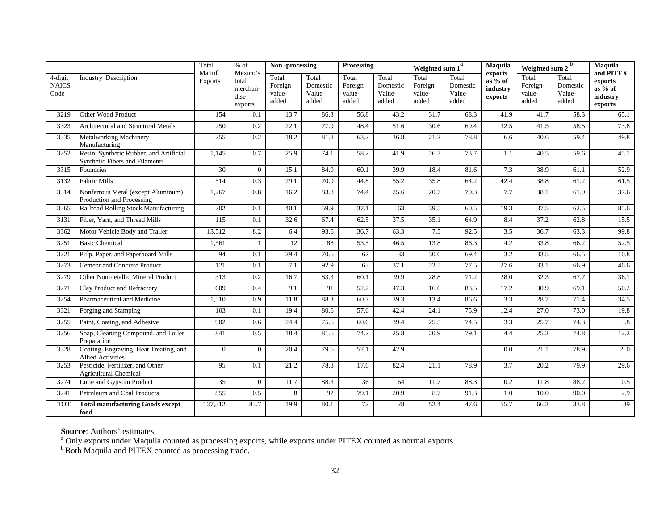|                                 |                                                                           | Total                    | $%$ of                                           | Non-processing                      |                                      | <b>Processing</b>                   |                                      | Weighted sum 1                      |                                      | Maquila                                              | b<br>Weighted sum 2                 |                                      | Maquila                                                |
|---------------------------------|---------------------------------------------------------------------------|--------------------------|--------------------------------------------------|-------------------------------------|--------------------------------------|-------------------------------------|--------------------------------------|-------------------------------------|--------------------------------------|------------------------------------------------------|-------------------------------------|--------------------------------------|--------------------------------------------------------|
| 4-digit<br><b>NAICS</b><br>Code | <b>Industry Description</b>                                               | Manuf.<br><b>Exports</b> | Mexico's<br>total<br>merchan-<br>dise<br>exports | Total<br>Foreign<br>value-<br>added | Total<br>Domestic<br>Value-<br>added | Total<br>Foreign<br>value-<br>added | Total<br>Domestic<br>Value-<br>added | Total<br>Foreign<br>value-<br>added | Total<br>Domestic<br>Value-<br>added | exports<br>$as\frac{1}{2}$ of<br>industry<br>exports | Total<br>Foreign<br>value-<br>added | Total<br>Domestic<br>Value-<br>added | and PITEX<br>exports<br>as % of<br>industry<br>exports |
| 3219                            | Other Wood Product                                                        | 154                      | 0.1                                              | 13.7                                | 86.3                                 | 56.8                                | 43.2                                 | 31.7                                | 68.3                                 | 41.9                                                 | 41.7                                | 58.3                                 | 65.1                                                   |
| 3323                            | Architectural and Structural Metals                                       | 250                      | 0.2                                              | 22.1                                | 77.9                                 | 48.4                                | 51.6                                 | 30.6                                | 69.4                                 | 32.5                                                 | 41.5                                | 58.5                                 | 73.8                                                   |
| 3335                            | Metalworking Machinery<br>Manufacturing                                   | 255                      | 0.2                                              | 18.2                                | 81.8                                 | 63.2                                | 36.8                                 | 21.2                                | 78.8                                 | 6.6                                                  | 40.6                                | 59.4                                 | 49.8                                                   |
| 3252                            | Resin, Synthetic Rubber, and Artificial<br>Synthetic Fibers and Filaments | 1,145                    | 0.7                                              | 25.9                                | 74.1                                 | 58.2                                | 41.9                                 | 26.3                                | 73.7                                 | 1.1                                                  | 40.5                                | 59.6                                 | 45.1                                                   |
| 3315                            | Foundries                                                                 | $30\,$                   | $\overline{0}$                                   | 15.1                                | 84.9                                 | 60.1                                | 39.9                                 | 18.4                                | 81.6                                 | 7.3                                                  | 38.9                                | 61.1                                 | 52.9                                                   |
| 3132                            | <b>Fabric Mills</b>                                                       | 514                      | 0.3                                              | 29.1                                | 70.9                                 | 44.8                                | 55.2                                 | 35.8                                | 64.2                                 | 42.4                                                 | 38.8                                | 61.2                                 | 61.5                                                   |
| 3314                            | Nonferrous Metal (except Aluminum)<br>Production and Processing           | 1,267                    | 0.8                                              | 16.2                                | 83.8                                 | 74.4                                | 25.6                                 | $\overline{20.7}$                   | 79.3                                 | 7.7                                                  | 38.1                                | 61.9                                 | 37.6                                                   |
| 3365                            | Railroad Rolling Stock Manufacturing                                      | 202                      | 0.1                                              | 40.1                                | 59.9                                 | 37.1                                | 63                                   | 39.5                                | 60.5                                 | 19.3                                                 | 37.5                                | 62.5                                 | 85.6                                                   |
| 3131                            | Fiber, Yarn, and Thread Mills                                             | 115                      | 0.1                                              | 32.6                                | 67.4                                 | 62.5                                | 37.5                                 | 35.1                                | 64.9                                 | 8.4                                                  | 37.2                                | 62.8                                 | 15.5                                                   |
| 3362                            | Motor Vehicle Body and Trailer                                            | 13,512                   | 8.2                                              | 6.4                                 | 93.6                                 | 36.7                                | 63.3                                 | 7.5                                 | 92.5                                 | 3.5                                                  | 36.7                                | 63.3                                 | 99.8                                                   |
| 3251                            | <b>Basic Chemical</b>                                                     | 1,561                    | 1                                                | 12                                  | 88                                   | 53.5                                | 46.5                                 | 13.8                                | 86.3                                 | 4.2                                                  | 33.8                                | 66.2                                 | 52.5                                                   |
| 3221                            | Pulp, Paper, and Paperboard Mills                                         | 94                       | 0.1                                              | 29.4                                | 70.6                                 | 67                                  | 33                                   | 30.6                                | 69.4                                 | 3.2                                                  | 33.5                                | 66.5                                 | 10.8                                                   |
| 3273                            | Cement and Concrete Product                                               | 121                      | 0.1                                              | 7.1                                 | 92.9                                 | 63                                  | 37.1                                 | 22.5                                | 77.5                                 | 27.6                                                 | 33.1                                | 66.9                                 | 46.6                                                   |
| 3279                            | Other Nonmetallic Mineral Product                                         | 313                      | $0.2\,$                                          | 16.7                                | 83.3                                 | 60.1                                | 39.9                                 | 28.8                                | 71.2                                 | 28.0                                                 | 32.3                                | 67.7                                 | 36.1                                                   |
| 3271                            | Clay Product and Refractory                                               | 609                      | 0.4                                              | 9.1                                 | 91                                   | 52.7                                | 47.3                                 | 16.6                                | 83.5                                 | 17.2                                                 | 30.9                                | 69.1                                 | 50.2                                                   |
| 3254                            | Pharmaceutical and Medicine                                               | 1,510                    | 0.9                                              | 11.8                                | 88.3                                 | 60.7                                | 39.3                                 | 13.4                                | 86.6                                 | 3.3                                                  | 28.7                                | 71.4                                 | 34.5                                                   |
| 3321                            | Forging and Stamping                                                      | 103                      | 0.1                                              | 19.4                                | 80.6                                 | 57.6                                | 42.4                                 | 24.1                                | 75.9                                 | 12.4                                                 | 27.0                                | 73.0                                 | 19.8                                                   |
| 3255                            | Paint, Coating, and Adhesive                                              | 902                      | 0.6                                              | 24.4                                | 75.6                                 | 60.6                                | 39.4                                 | 25.5                                | 74.5                                 | 3.3                                                  | 25.7                                | 74.3                                 | $\overline{3.8}$                                       |
| 3256                            | Soap, Cleaning Compound, and Toilet<br>Preparation                        | 841                      | 0.5                                              | 18.4                                | 81.6                                 | 74.2                                | 25.8                                 | 20.9                                | 79.1                                 | 4.4                                                  | 25.2                                | 74.8                                 | 12.2                                                   |
| 3328                            | Coating, Engraving, Heat Treating, and<br><b>Allied Activities</b>        | $\overline{0}$           | $\Omega$                                         | 20.4                                | 79.6                                 | 57.1                                | 42.9                                 |                                     |                                      | 0.0                                                  | 21.1                                | 78.9                                 | 2.0                                                    |
| 3253                            | Pesticide, Fertilizer, and Other<br><b>Agricultural Chemical</b>          | 95                       | 0.1                                              | 21.2                                | 78.8                                 | 17.6                                | 82.4                                 | 21.1                                | 78.9                                 | 3.7                                                  | 20.2                                | 79.9                                 | 29.6                                                   |
| 3274                            | Lime and Gypsum Product                                                   | $\overline{35}$          | $\Omega$                                         | 11.7                                | 88.3                                 | $\overline{36}$                     | 64                                   | 11.7                                | 88.3                                 | 0.2                                                  | 11.8                                | 88.2                                 | 0.5                                                    |
| 3241                            | Petroleum and Coal Products                                               | 855                      | 0.5                                              | 8                                   | 92                                   | 79.1                                | 20.9                                 | 8.7                                 | 91.3                                 | $1.0\,$                                              | 10.0                                | 90.0                                 | 2.9                                                    |
| <b>TOT</b>                      | <b>Total manufacturing Goods except</b><br>food                           | 137,312                  | 83.7                                             | 19.9                                | 80.1                                 | 72                                  | 28                                   | 52.4                                | 47.6                                 | 55.7                                                 | 66.2                                | 33.8                                 | 89                                                     |

**Source**: Authors' estimates<br><sup>a</sup> Only exports under Maquila counted as processing exports, while exports under PITEX counted as normal exports.

**Both Maquila and PITEX counted as processing trade.**